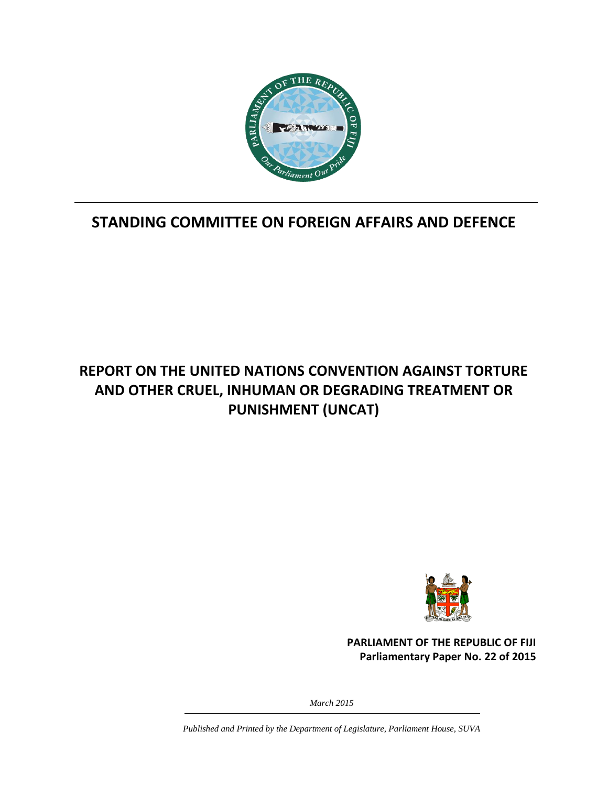

## **STANDING COMMITTEE ON FOREIGN AFFAIRS AND DEFENCE**

## **REPORT ON THE UNITED NATIONS CONVENTION AGAINST TORTURE AND OTHER CRUEL, INHUMAN OR DEGRADING TREATMENT OR PUNISHMENT (UNCAT)**



**PARLIAMENT OF THE REPUBLIC OF FIJI Parliamentary Paper No. 22 of 2015**

*March 2015*

*Published and Printed by the Department of Legislature, Parliament House, SUVA*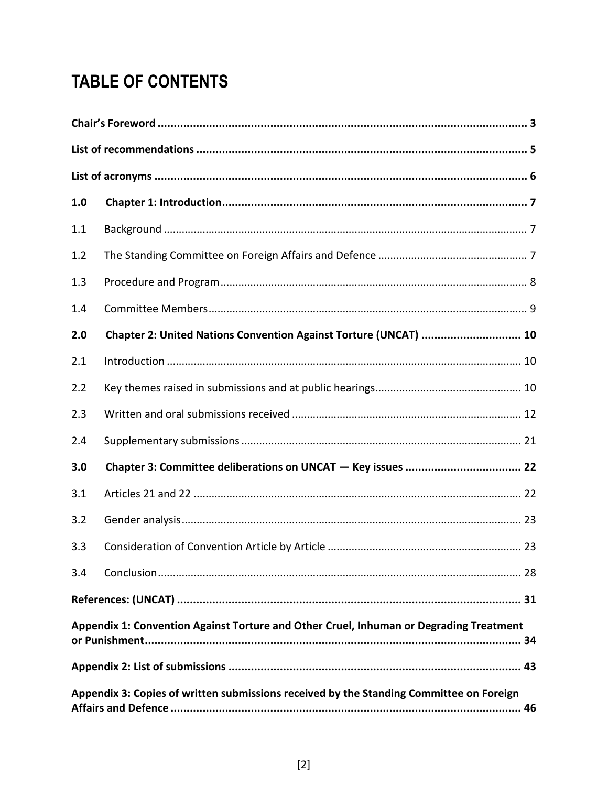# **TABLE OF CONTENTS**

| 1.0                                                                                    |                                                                                         |  |  |  |
|----------------------------------------------------------------------------------------|-----------------------------------------------------------------------------------------|--|--|--|
| 1.1                                                                                    |                                                                                         |  |  |  |
| 1.2                                                                                    |                                                                                         |  |  |  |
| 1.3                                                                                    |                                                                                         |  |  |  |
| 1.4                                                                                    |                                                                                         |  |  |  |
| 2.0                                                                                    | Chapter 2: United Nations Convention Against Torture (UNCAT)  10                        |  |  |  |
| 2.1                                                                                    |                                                                                         |  |  |  |
| 2.2                                                                                    |                                                                                         |  |  |  |
| 2.3                                                                                    |                                                                                         |  |  |  |
| 2.4                                                                                    |                                                                                         |  |  |  |
| 3.0                                                                                    |                                                                                         |  |  |  |
| 3.1                                                                                    |                                                                                         |  |  |  |
| 3.2                                                                                    |                                                                                         |  |  |  |
| 3.3                                                                                    |                                                                                         |  |  |  |
| 3.4                                                                                    |                                                                                         |  |  |  |
|                                                                                        |                                                                                         |  |  |  |
| Appendix 1: Convention Against Torture and Other Cruel, Inhuman or Degrading Treatment |                                                                                         |  |  |  |
|                                                                                        |                                                                                         |  |  |  |
|                                                                                        | Appendix 3: Copies of written submissions received by the Standing Committee on Foreign |  |  |  |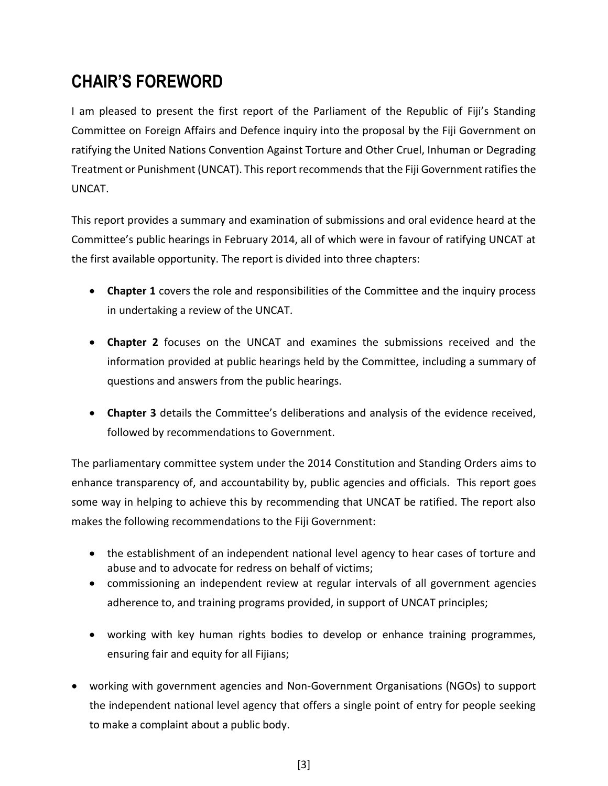# <span id="page-2-0"></span>**CHAIR'S FOREWORD**

I am pleased to present the first report of the Parliament of the Republic of Fiji's Standing Committee on Foreign Affairs and Defence inquiry into the proposal by the Fiji Government on ratifying the United Nations Convention Against Torture and Other Cruel, Inhuman or Degrading Treatment or Punishment (UNCAT). This report recommendsthat the Fiji Government ratifies the UNCAT.

This report provides a summary and examination of submissions and oral evidence heard at the Committee's public hearings in February 2014, all of which were in favour of ratifying UNCAT at the first available opportunity. The report is divided into three chapters:

- **Chapter 1** covers the role and responsibilities of the Committee and the inquiry process in undertaking a review of the UNCAT.
- **Chapter 2** focuses on the UNCAT and examines the submissions received and the information provided at public hearings held by the Committee, including a summary of questions and answers from the public hearings.
- **Chapter 3** details the Committee's deliberations and analysis of the evidence received, followed by recommendations to Government.

The parliamentary committee system under the 2014 Constitution and Standing Orders aims to enhance transparency of, and accountability by, public agencies and officials. This report goes some way in helping to achieve this by recommending that UNCAT be ratified. The report also makes the following recommendations to the Fiji Government:

- the establishment of an independent national level agency to hear cases of torture and abuse and to advocate for redress on behalf of victims;
- commissioning an independent review at regular intervals of all government agencies adherence to, and training programs provided, in support of UNCAT principles;
- working with key human rights bodies to develop or enhance training programmes, ensuring fair and equity for all Fijians;
- working with government agencies and Non-Government Organisations (NGOs) to support the independent national level agency that offers a single point of entry for people seeking to make a complaint about a public body.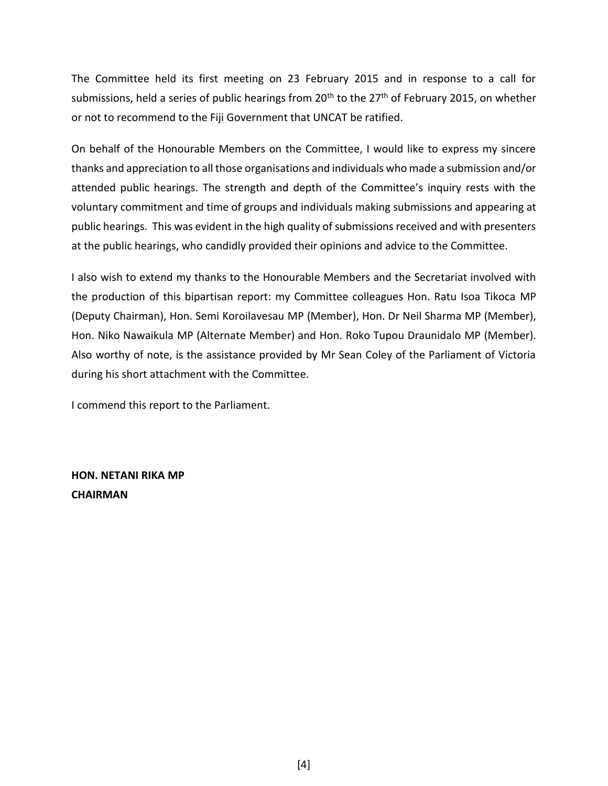The Committee held its first meeting on 23 February 2015 and in response to a call for submissions, held a series of public hearings from 20<sup>th</sup> to the 27<sup>th</sup> of February 2015, on whether or not to recommend to the Fiji Government that UNCAT be ratified.

On behalf of the Honourable Members on the Committee, I would like to express my sincere thanks and appreciation to all those organisations and individuals who made a submission and/or attended public hearings. The strength and depth of the Committee's inquiry rests with the voluntary commitment and time of groups and individuals making submissions and appearing at public hearings. This was evident in the high quality of submissions received and with presenters at the public hearings, who candidly provided their opinions and advice to the Committee.

I also wish to extend my thanks to the Honourable Members and the Secretariat involved with the production of this bipartisan report: my Committee colleagues Hon. Ratu Isoa Tikoca MP (Deputy Chairman), Hon. Semi Koroilavesau MP (Member), Hon. Dr Neil Sharma MP (Member), Hon. Niko Nawaikula MP (Alternate Member) and Hon. Roko Tupou Draunidalo MP (Member). Also worthy of note, is the assistance provided by Mr Sean Coley of the Parliament of Victoria during his short attachment with the Committee.

I commend this report to the Parliament.

**HON. NETANI RIKA MP CHAIRMAN**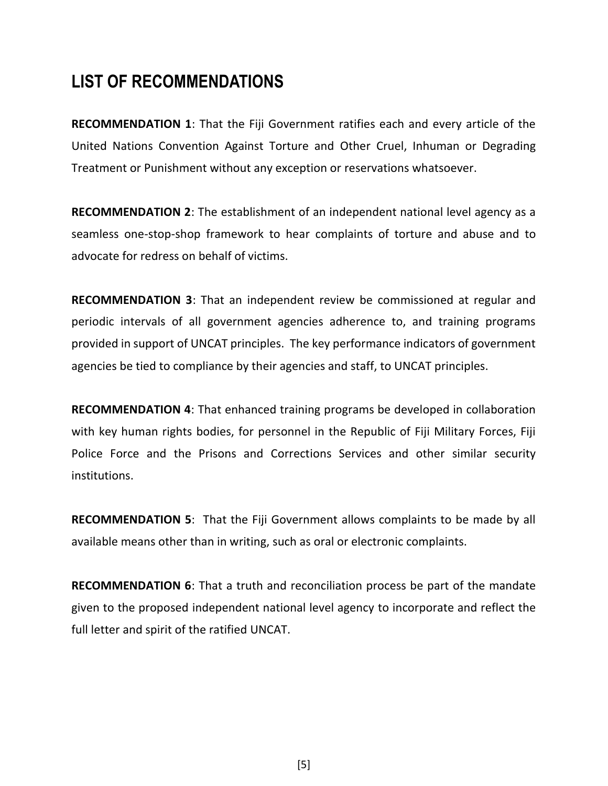# <span id="page-4-0"></span>**LIST OF RECOMMENDATIONS**

**RECOMMENDATION 1**: That the Fiji Government ratifies each and every article of the United Nations Convention Against Torture and Other Cruel, Inhuman or Degrading Treatment or Punishment without any exception or reservations whatsoever.

**RECOMMENDATION 2**: The establishment of an independent national level agency as a seamless one-stop-shop framework to hear complaints of torture and abuse and to advocate for redress on behalf of victims.

**RECOMMENDATION 3**: That an independent review be commissioned at regular and periodic intervals of all government agencies adherence to, and training programs provided in support of UNCAT principles. The key performance indicators of government agencies be tied to compliance by their agencies and staff, to UNCAT principles.

**RECOMMENDATION 4**: That enhanced training programs be developed in collaboration with key human rights bodies, for personnel in the Republic of Fiji Military Forces, Fiji Police Force and the Prisons and Corrections Services and other similar security institutions.

**RECOMMENDATION 5**: That the Fiji Government allows complaints to be made by all available means other than in writing, such as oral or electronic complaints.

**RECOMMENDATION 6**: That a truth and reconciliation process be part of the mandate given to the proposed independent national level agency to incorporate and reflect the full letter and spirit of the ratified UNCAT.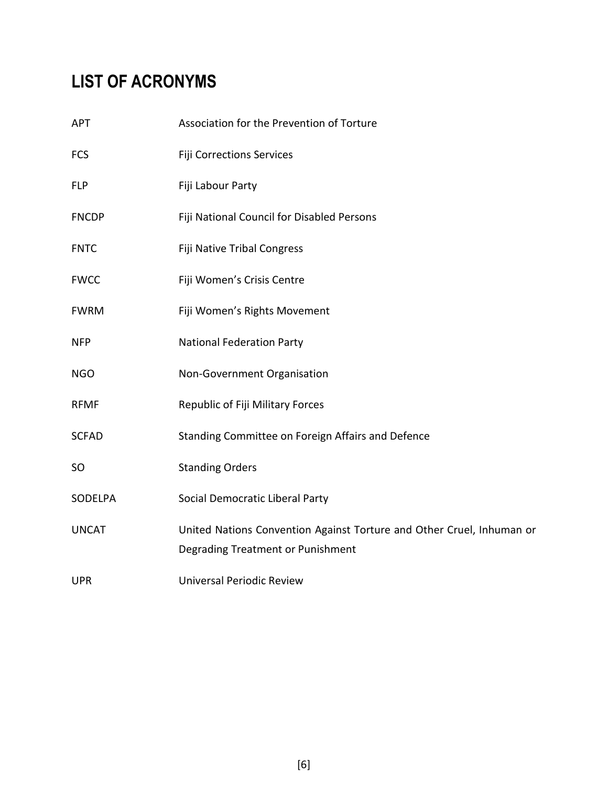# <span id="page-5-0"></span>**LIST OF ACRONYMS**

| APT          | Association for the Prevention of Torture                                                                  |
|--------------|------------------------------------------------------------------------------------------------------------|
| <b>FCS</b>   | <b>Fiji Corrections Services</b>                                                                           |
| <b>FLP</b>   | Fiji Labour Party                                                                                          |
| <b>FNCDP</b> | Fiji National Council for Disabled Persons                                                                 |
| <b>FNTC</b>  | Fiji Native Tribal Congress                                                                                |
| <b>FWCC</b>  | Fiji Women's Crisis Centre                                                                                 |
| <b>FWRM</b>  | Fiji Women's Rights Movement                                                                               |
| <b>NFP</b>   | <b>National Federation Party</b>                                                                           |
| <b>NGO</b>   | Non-Government Organisation                                                                                |
| <b>RFMF</b>  | Republic of Fiji Military Forces                                                                           |
| <b>SCFAD</b> | Standing Committee on Foreign Affairs and Defence                                                          |
| SO           | <b>Standing Orders</b>                                                                                     |
| SODELPA      | Social Democratic Liberal Party                                                                            |
| <b>UNCAT</b> | United Nations Convention Against Torture and Other Cruel, Inhuman or<br>Degrading Treatment or Punishment |
| <b>UPR</b>   | <b>Universal Periodic Review</b>                                                                           |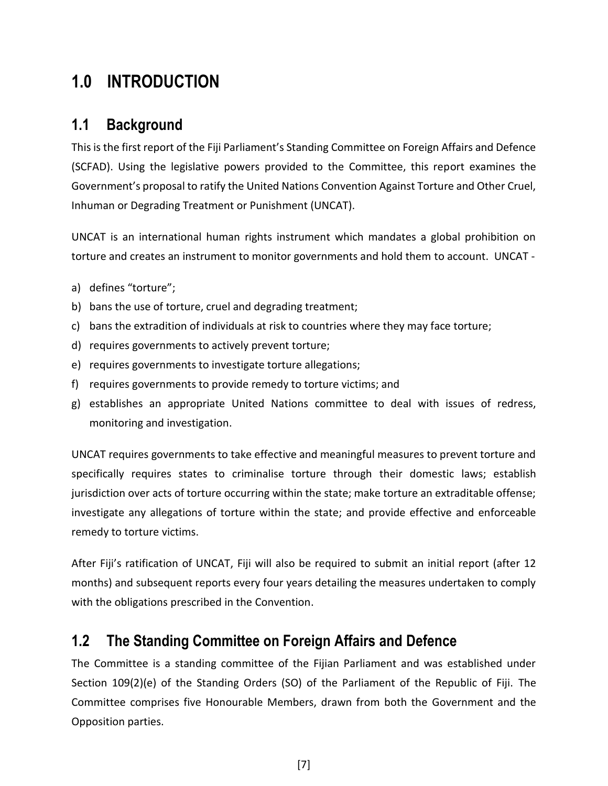# <span id="page-6-0"></span>**1.0 INTRODUCTION**

## <span id="page-6-1"></span>**1.1 Background**

This is the first report of the Fiji Parliament's Standing Committee on Foreign Affairs and Defence (SCFAD). Using the legislative powers provided to the Committee, this report examines the Government's proposal to ratify the United Nations Convention Against Torture and Other Cruel, Inhuman or Degrading Treatment or Punishment (UNCAT).

UNCAT is an international human rights instrument which mandates a global prohibition on torture and creates an instrument to monitor governments and hold them to account. UNCAT -

- a) defines "torture";
- b) bans the use of torture, cruel and degrading treatment;
- c) bans the extradition of individuals at risk to countries where they may face torture;
- d) requires governments to actively prevent torture;
- e) requires governments to investigate torture allegations;
- f) requires governments to provide remedy to torture victims; and
- g) establishes an appropriate United Nations committee to deal with issues of redress, monitoring and investigation.

UNCAT requires governments to take effective and meaningful measures to prevent torture and specifically requires states to criminalise torture through their domestic laws; establish jurisdiction over acts of torture occurring within the state; make torture an extraditable offense; investigate any allegations of torture within the state; and provide effective and enforceable remedy to torture victims.

After Fiji's ratification of UNCAT, Fiji will also be required to submit an initial report (after 12 months) and subsequent reports every four years detailing the measures undertaken to comply with the obligations prescribed in the Convention.

## <span id="page-6-2"></span>**1.2 The Standing Committee on Foreign Affairs and Defence**

The Committee is a standing committee of the Fijian Parliament and was established under Section 109(2)(e) of the Standing Orders (SO) of the Parliament of the Republic of Fiji. The Committee comprises five Honourable Members, drawn from both the Government and the Opposition parties.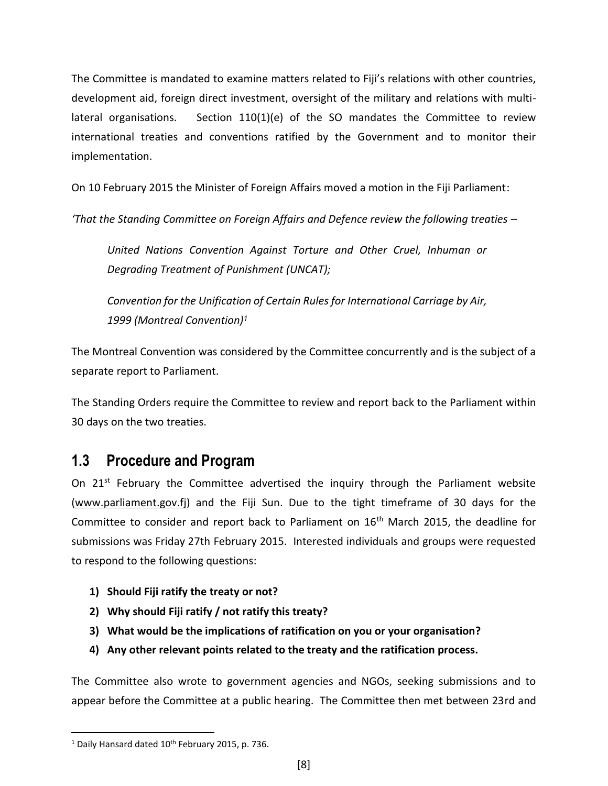The Committee is mandated to examine matters related to Fiji's relations with other countries, development aid, foreign direct investment, oversight of the military and relations with multilateral organisations. Section  $110(1)(e)$  of the SO mandates the Committee to review international treaties and conventions ratified by the Government and to monitor their implementation.

On 10 February 2015 the Minister of Foreign Affairs moved a motion in the Fiji Parliament:

*'That the Standing Committee on Foreign Affairs and Defence review the following treaties –*

*United Nations Convention Against Torture and Other Cruel, Inhuman or Degrading Treatment of Punishment (UNCAT);*

*Convention for the Unification of Certain Rules for International Carriage by Air, 1999 (Montreal Convention)<sup>1</sup>*

The Montreal Convention was considered by the Committee concurrently and is the subject of a separate report to Parliament.

The Standing Orders require the Committee to review and report back to the Parliament within 30 days on the two treaties.

## <span id="page-7-0"></span>**1.3 Procedure and Program**

On 21<sup>st</sup> February the Committee advertised the inquiry through the Parliament website [\(www.parliament.gov.fj\)](http://www.parliament.gov.fj/) and the Fiji Sun. Due to the tight timeframe of 30 days for the Committee to consider and report back to Parliament on  $16<sup>th</sup>$  March 2015, the deadline for submissions was Friday 27th February 2015. Interested individuals and groups were requested to respond to the following questions:

- **1) Should Fiji ratify the treaty or not?**
- **2) Why should Fiji ratify / not ratify this treaty?**
- **3) What would be the implications of ratification on you or your organisation?**
- **4) Any other relevant points related to the treaty and the ratification process.**

The Committee also wrote to government agencies and NGOs, seeking submissions and to appear before the Committee at a public hearing. The Committee then met between 23rd and

 $\overline{a}$ 

 $1$  Daily Hansard dated  $10^{th}$  February 2015, p. 736.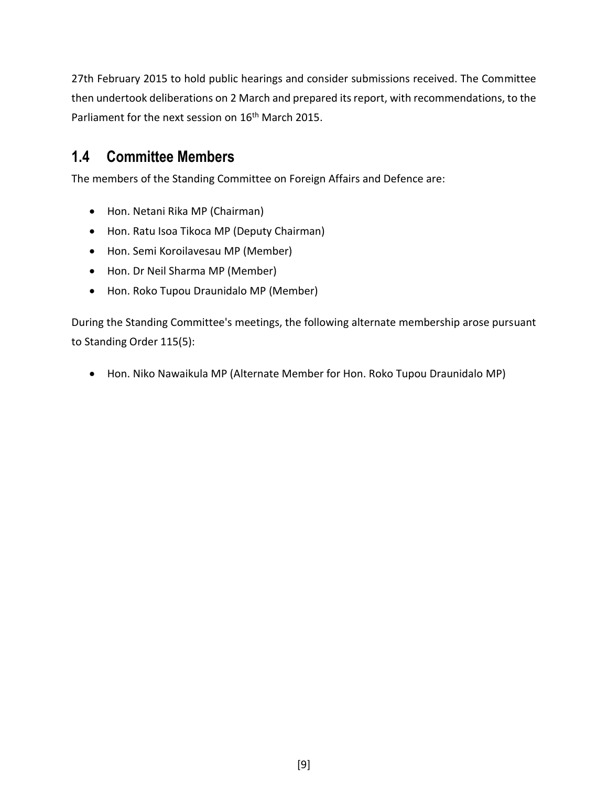27th February 2015 to hold public hearings and consider submissions received. The Committee then undertook deliberations on 2 March and prepared its report, with recommendations, to the Parliament for the next session on 16<sup>th</sup> March 2015.

## <span id="page-8-0"></span>**1.4 Committee Members**

The members of the Standing Committee on Foreign Affairs and Defence are:

- Hon. Netani Rika MP (Chairman)
- Hon. Ratu Isoa Tikoca MP (Deputy Chairman)
- Hon. Semi Koroilavesau MP (Member)
- Hon. Dr Neil Sharma MP (Member)
- Hon. Roko Tupou Draunidalo MP (Member)

During the Standing Committee's meetings, the following alternate membership arose pursuant to Standing Order 115(5):

Hon. Niko Nawaikula MP (Alternate Member for Hon. Roko Tupou Draunidalo MP)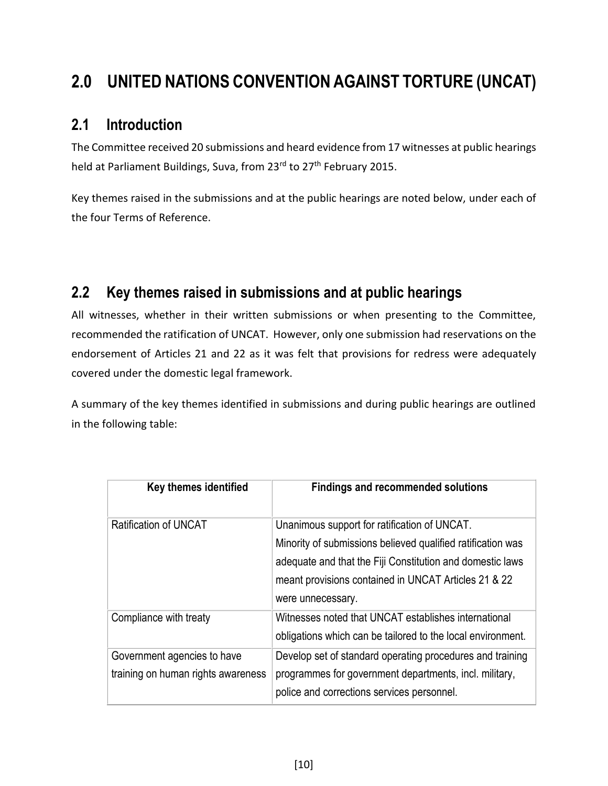# <span id="page-9-0"></span>**2.0 UNITED NATIONS CONVENTION AGAINST TORTURE (UNCAT)**

## <span id="page-9-1"></span>**2.1 Introduction**

The Committee received 20 submissions and heard evidence from 17 witnesses at public hearings held at Parliament Buildings, Suva, from 23rd to 27<sup>th</sup> February 2015.

Key themes raised in the submissions and at the public hearings are noted below, under each of the four Terms of Reference.

## <span id="page-9-2"></span>**2.2 Key themes raised in submissions and at public hearings**

All witnesses, whether in their written submissions or when presenting to the Committee, recommended the ratification of UNCAT. However, only one submission had reservations on the endorsement of Articles 21 and 22 as it was felt that provisions for redress were adequately covered under the domestic legal framework.

A summary of the key themes identified in submissions and during public hearings are outlined in the following table:

| Key themes identified              | <b>Findings and recommended solutions</b>                   |
|------------------------------------|-------------------------------------------------------------|
| <b>Ratification of UNCAT</b>       | Unanimous support for ratification of UNCAT.                |
|                                    | Minority of submissions believed qualified ratification was |
|                                    | adequate and that the Fiji Constitution and domestic laws   |
|                                    | meant provisions contained in UNCAT Articles 21 & 22        |
|                                    | were unnecessary.                                           |
| Compliance with treaty             | Witnesses noted that UNCAT establishes international        |
|                                    | obligations which can be tailored to the local environment. |
| Government agencies to have        | Develop set of standard operating procedures and training   |
| training on human rights awareness | programmes for government departments, incl. military,      |
|                                    | police and corrections services personnel.                  |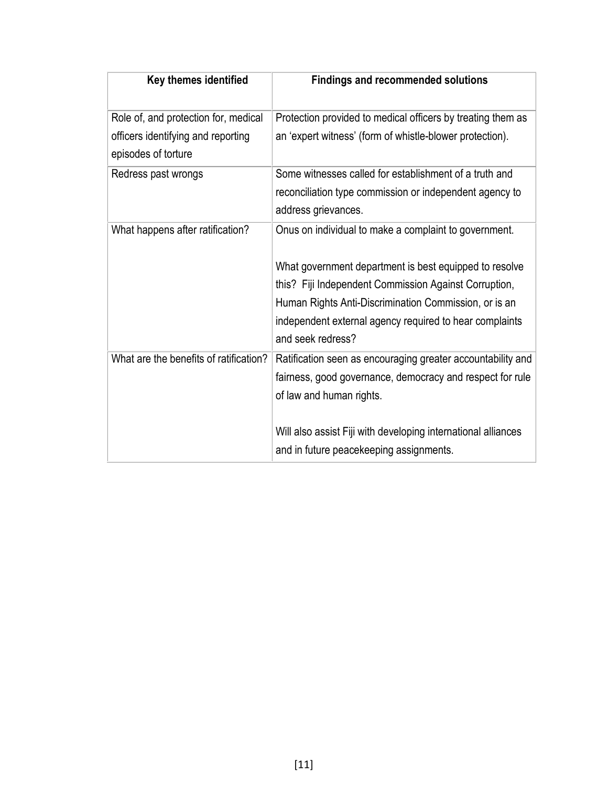<span id="page-10-0"></span>

| Key themes identified                  | <b>Findings and recommended solutions</b>                                                                |
|----------------------------------------|----------------------------------------------------------------------------------------------------------|
| Role of, and protection for, medical   | Protection provided to medical officers by treating them as                                              |
| officers identifying and reporting     | an 'expert witness' (form of whistle-blower protection).                                                 |
| episodes of torture                    |                                                                                                          |
| Redress past wrongs                    | Some witnesses called for establishment of a truth and                                                   |
|                                        | reconciliation type commission or independent agency to                                                  |
|                                        | address grievances.                                                                                      |
| What happens after ratification?       | Onus on individual to make a complaint to government.                                                    |
|                                        | What government department is best equipped to resolve                                                   |
|                                        | this? Fiji Independent Commission Against Corruption,                                                    |
|                                        | Human Rights Anti-Discrimination Commission, or is an                                                    |
|                                        | independent external agency required to hear complaints                                                  |
|                                        | and seek redress?                                                                                        |
| What are the benefits of ratification? | Ratification seen as encouraging greater accountability and                                              |
|                                        | fairness, good governance, democracy and respect for rule                                                |
|                                        | of law and human rights.                                                                                 |
|                                        | Will also assist Fiji with developing international alliances<br>and in future peacekeeping assignments. |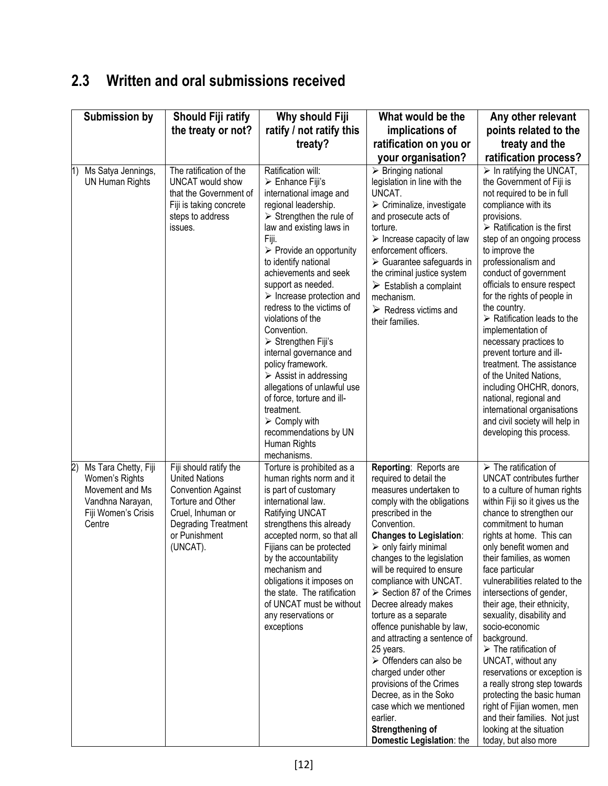## **2.3 Written and oral submissions received**

| <b>Submission by</b>                                                                                                           | Should Fiji ratify                                                                                                                                                         | Why should Fiji                                                                                                                                                                                                                                                                                                                                                                                                                                                                                                                                                                                                                                                                                            | What would be the                                                                                                                                                                                                                                                                                                                                                                                                                                                                                                                                                                                                                                                                      | Any other relevant                                                                                                                                                                                                                                                                                                                                                                                                                                                                                                                                                                                                                                                                                                                   |
|--------------------------------------------------------------------------------------------------------------------------------|----------------------------------------------------------------------------------------------------------------------------------------------------------------------------|------------------------------------------------------------------------------------------------------------------------------------------------------------------------------------------------------------------------------------------------------------------------------------------------------------------------------------------------------------------------------------------------------------------------------------------------------------------------------------------------------------------------------------------------------------------------------------------------------------------------------------------------------------------------------------------------------------|----------------------------------------------------------------------------------------------------------------------------------------------------------------------------------------------------------------------------------------------------------------------------------------------------------------------------------------------------------------------------------------------------------------------------------------------------------------------------------------------------------------------------------------------------------------------------------------------------------------------------------------------------------------------------------------|--------------------------------------------------------------------------------------------------------------------------------------------------------------------------------------------------------------------------------------------------------------------------------------------------------------------------------------------------------------------------------------------------------------------------------------------------------------------------------------------------------------------------------------------------------------------------------------------------------------------------------------------------------------------------------------------------------------------------------------|
|                                                                                                                                | the treaty or not?                                                                                                                                                         | ratify / not ratify this                                                                                                                                                                                                                                                                                                                                                                                                                                                                                                                                                                                                                                                                                   | implications of                                                                                                                                                                                                                                                                                                                                                                                                                                                                                                                                                                                                                                                                        | points related to the                                                                                                                                                                                                                                                                                                                                                                                                                                                                                                                                                                                                                                                                                                                |
|                                                                                                                                |                                                                                                                                                                            | treaty?                                                                                                                                                                                                                                                                                                                                                                                                                                                                                                                                                                                                                                                                                                    | ratification on you or                                                                                                                                                                                                                                                                                                                                                                                                                                                                                                                                                                                                                                                                 | treaty and the                                                                                                                                                                                                                                                                                                                                                                                                                                                                                                                                                                                                                                                                                                                       |
|                                                                                                                                |                                                                                                                                                                            |                                                                                                                                                                                                                                                                                                                                                                                                                                                                                                                                                                                                                                                                                                            | your organisation?                                                                                                                                                                                                                                                                                                                                                                                                                                                                                                                                                                                                                                                                     | ratification process?                                                                                                                                                                                                                                                                                                                                                                                                                                                                                                                                                                                                                                                                                                                |
| Ms Satya Jennings,<br>1)<br><b>UN Human Rights</b>                                                                             | The ratification of the<br>UNCAT would show<br>that the Government of<br>Fiji is taking concrete<br>steps to address<br>issues.                                            | Ratification will:<br>$\triangleright$ Enhance Fiji's<br>international image and<br>regional leadership.<br>$\triangleright$ Strengthen the rule of<br>law and existing laws in<br>Fiji.<br>$\triangleright$ Provide an opportunity<br>to identify national<br>achievements and seek<br>support as needed.<br>$\triangleright$ Increase protection and<br>redress to the victims of<br>violations of the<br>Convention.<br>$\triangleright$ Strengthen Fiji's<br>internal governance and<br>policy framework.<br>$\triangleright$ Assist in addressing<br>allegations of unlawful use<br>of force, torture and ill-<br>treatment.<br>$\triangleright$ Comply with<br>recommendations by UN<br>Human Rights | $\triangleright$ Bringing national<br>legislation in line with the<br>UNCAT.<br>$\triangleright$ Criminalize, investigate<br>and prosecute acts of<br>torture.<br>$\triangleright$ Increase capacity of law<br>enforcement officers.<br>$\triangleright$ Guarantee safeguards in<br>the criminal justice system<br>$\triangleright$ Establish a complaint<br>mechanism.<br>$\triangleright$ Redress victims and<br>their families.                                                                                                                                                                                                                                                     | $\triangleright$ In ratifying the UNCAT,<br>the Government of Fiji is<br>not required to be in full<br>compliance with its<br>provisions.<br>$\triangleright$ Ratification is the first<br>step of an ongoing process<br>to improve the<br>professionalism and<br>conduct of government<br>officials to ensure respect<br>for the rights of people in<br>the country.<br>$\triangleright$ Ratification leads to the<br>implementation of<br>necessary practices to<br>prevent torture and ill-<br>treatment. The assistance<br>of the United Nations,<br>including OHCHR, donors,<br>national, regional and<br>international organisations<br>and civil society will help in<br>developing this process.                             |
| $\mathbf{Z}$<br>Ms Tara Chetty, Fiji<br>Women's Rights<br>Movement and Ms<br>Vandhna Narayan,<br>Fiji Women's Crisis<br>Centre | Fiji should ratify the<br><b>United Nations</b><br><b>Convention Against</b><br>Torture and Other<br>Cruel, Inhuman or<br>Degrading Treatment<br>or Punishment<br>(UNCAT). | mechanisms.<br>Torture is prohibited as a<br>human rights norm and it<br>is part of customary<br>international law.<br>Ratifying UNCAT<br>strengthens this already<br>accepted norm, so that all<br>Fijians can be protected<br>by the accountability<br>mechanism and<br>obligations it imposes on<br>the state. The ratification<br>of UNCAT must be without<br>any reservations or<br>exceptions                                                                                                                                                                                                                                                                                                        | Reporting: Reports are<br>required to detail the<br>measures undertaken to<br>comply with the obligations<br>prescribed in the<br>Convention.<br><b>Changes to Legislation:</b><br>$\triangleright$ only fairly minimal<br>changes to the legislation<br>will be required to ensure<br>compliance with UNCAT.<br>$\triangleright$ Section 87 of the Crimes<br>Decree already makes<br>torture as a separate<br>offence punishable by law,<br>and attracting a sentence of<br>25 years.<br>> Offenders can also be<br>charged under other<br>provisions of the Crimes<br>Decree, as in the Soko<br>case which we mentioned<br>earlier.<br>Strengthening of<br>Domestic Legislation: the | $\triangleright$ The ratification of<br>UNCAT contributes further<br>to a culture of human rights<br>within Fiji so it gives us the<br>chance to strengthen our<br>commitment to human<br>rights at home. This can<br>only benefit women and<br>their families, as women<br>face particular<br>vulnerabilities related to the<br>intersections of gender,<br>their age, their ethnicity,<br>sexuality, disability and<br>socio-economic<br>background.<br>$\triangleright$ The ratification of<br>UNCAT, without any<br>reservations or exception is<br>a really strong step towards<br>protecting the basic human<br>right of Fijian women, men<br>and their families. Not just<br>looking at the situation<br>today, but also more |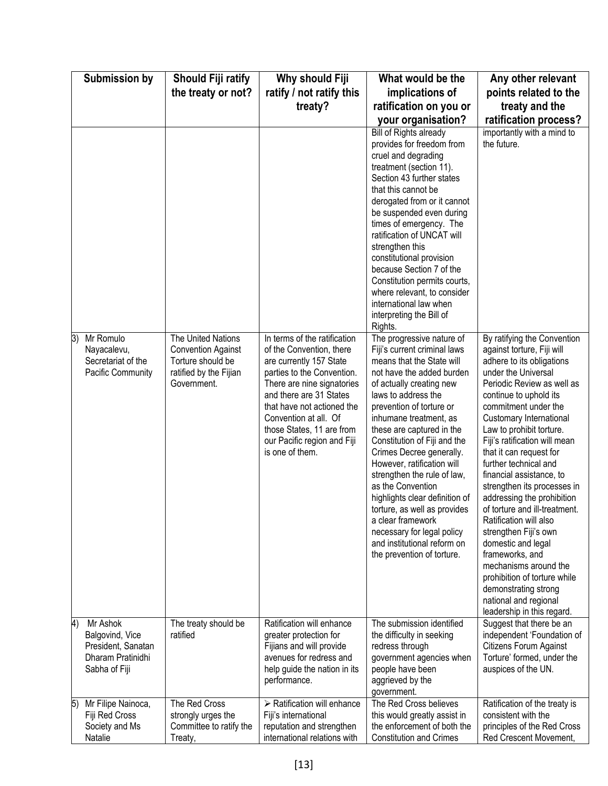| <b>Submission by</b>                                                                                  | Should Fiji ratify                                                                                            | Why should Fiji                                                                                                                                                                                                                                                                                                  | What would be the                                                                                                                                                                                                                                                                                                                                                                                                                                                                                                                                                                         | Any other relevant                                                                                                                                                                                                                                                                                                                                                                                                                                                                                                                                                                                                                                                                                      |
|-------------------------------------------------------------------------------------------------------|---------------------------------------------------------------------------------------------------------------|------------------------------------------------------------------------------------------------------------------------------------------------------------------------------------------------------------------------------------------------------------------------------------------------------------------|-------------------------------------------------------------------------------------------------------------------------------------------------------------------------------------------------------------------------------------------------------------------------------------------------------------------------------------------------------------------------------------------------------------------------------------------------------------------------------------------------------------------------------------------------------------------------------------------|---------------------------------------------------------------------------------------------------------------------------------------------------------------------------------------------------------------------------------------------------------------------------------------------------------------------------------------------------------------------------------------------------------------------------------------------------------------------------------------------------------------------------------------------------------------------------------------------------------------------------------------------------------------------------------------------------------|
|                                                                                                       | the treaty or not?                                                                                            | ratify / not ratify this                                                                                                                                                                                                                                                                                         | implications of                                                                                                                                                                                                                                                                                                                                                                                                                                                                                                                                                                           | points related to the                                                                                                                                                                                                                                                                                                                                                                                                                                                                                                                                                                                                                                                                                   |
|                                                                                                       |                                                                                                               | treaty?                                                                                                                                                                                                                                                                                                          | ratification on you or                                                                                                                                                                                                                                                                                                                                                                                                                                                                                                                                                                    | treaty and the                                                                                                                                                                                                                                                                                                                                                                                                                                                                                                                                                                                                                                                                                          |
|                                                                                                       |                                                                                                               |                                                                                                                                                                                                                                                                                                                  | your organisation?                                                                                                                                                                                                                                                                                                                                                                                                                                                                                                                                                                        | ratification process?                                                                                                                                                                                                                                                                                                                                                                                                                                                                                                                                                                                                                                                                                   |
|                                                                                                       |                                                                                                               |                                                                                                                                                                                                                                                                                                                  | Bill of Rights already<br>provides for freedom from<br>cruel and degrading<br>treatment (section 11).<br>Section 43 further states<br>that this cannot be<br>derogated from or it cannot<br>be suspended even during<br>times of emergency. The<br>ratification of UNCAT will<br>strengthen this<br>constitutional provision<br>because Section 7 of the<br>Constitution permits courts,<br>where relevant, to consider<br>international law when<br>interpreting the Bill of<br>Rights.                                                                                                  | importantly with a mind to<br>the future.                                                                                                                                                                                                                                                                                                                                                                                                                                                                                                                                                                                                                                                               |
| 3)<br>Mr Romulo<br>Nayacalevu,<br>Secretariat of the<br>Pacific Community                             | The United Nations<br><b>Convention Against</b><br>Torture should be<br>ratified by the Fijian<br>Government. | In terms of the ratification<br>of the Convention, there<br>are currently 157 State<br>parties to the Convention.<br>There are nine signatories<br>and there are 31 States<br>that have not actioned the<br>Convention at all. Of<br>those States, 11 are from<br>our Pacific region and Fiji<br>is one of them. | The progressive nature of<br>Fiji's current criminal laws<br>means that the State will<br>not have the added burden<br>of actually creating new<br>laws to address the<br>prevention of torture or<br>inhumane treatment, as<br>these are captured in the<br>Constitution of Fiji and the<br>Crimes Decree generally.<br>However, ratification will<br>strengthen the rule of law,<br>as the Convention<br>highlights clear definition of<br>torture, as well as provides<br>a clear framework<br>necessary for legal policy<br>and institutional reform on<br>the prevention of torture. | By ratifying the Convention<br>against torture, Fiji will<br>adhere to its obligations<br>under the Universal<br>Periodic Review as well as<br>continue to uphold its<br>commitment under the<br>Customary International<br>Law to prohibit torture.<br>Fiji's ratification will mean<br>that it can request for<br>further technical and<br>financial assistance, to<br>strengthen its processes in<br>addressing the prohibition<br>of torture and ill-treatment.<br>Ratification will also<br>strengthen Fiji's own<br>domestic and legal<br>frameworks, and<br>mechanisms around the<br>prohibition of torture while<br>demonstrating strong<br>national and regional<br>leadership in this regard. |
| Mr Ashok<br>$\vert 4)$<br>Balgovind, Vice<br>President, Sanatan<br>Dharam Pratinidhi<br>Sabha of Fiji | The treaty should be<br>ratified                                                                              | Ratification will enhance<br>greater protection for<br>Fijians and will provide<br>avenues for redress and<br>help guide the nation in its<br>performance.                                                                                                                                                       | The submission identified<br>the difficulty in seeking<br>redress through<br>government agencies when<br>people have been<br>aggrieved by the<br>government.                                                                                                                                                                                                                                                                                                                                                                                                                              | Suggest that there be an<br>independent 'Foundation of<br>Citizens Forum Against<br>Torture' formed, under the<br>auspices of the UN.                                                                                                                                                                                                                                                                                                                                                                                                                                                                                                                                                                   |
| Mr Filipe Nainoca,<br>5)<br>Fiji Red Cross<br>Society and Ms<br>Natalie                               | The Red Cross<br>strongly urges the<br>Committee to ratify the<br>Treaty,                                     | > Ratification will enhance<br>Fiji's international<br>reputation and strengthen<br>international relations with                                                                                                                                                                                                 | The Red Cross believes<br>this would greatly assist in<br>the enforcement of both the<br><b>Constitution and Crimes</b>                                                                                                                                                                                                                                                                                                                                                                                                                                                                   | Ratification of the treaty is<br>consistent with the<br>principles of the Red Cross<br>Red Crescent Movement,                                                                                                                                                                                                                                                                                                                                                                                                                                                                                                                                                                                           |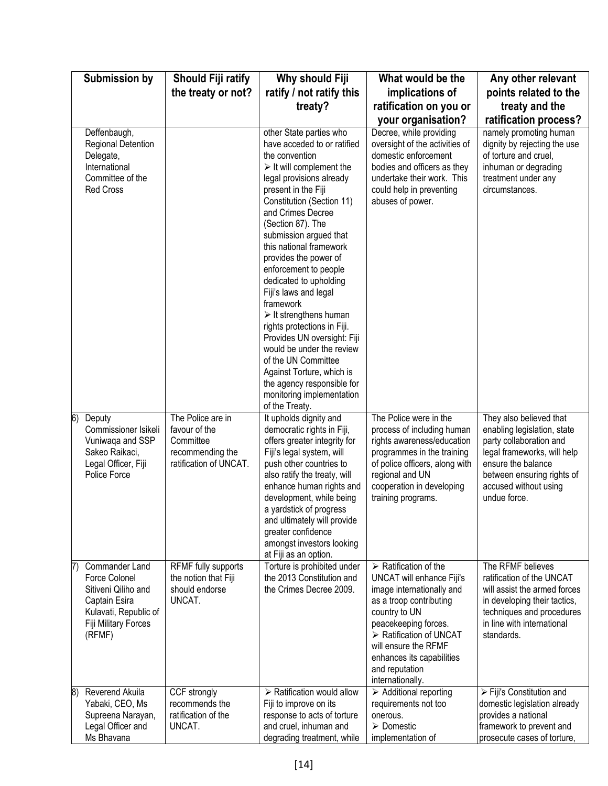| <b>Submission by</b>                                                                                                                     | Should Fiji ratify<br>the treaty or not?                                                      | Why should Fiji<br>ratify / not ratify this<br>treaty?                                                                                                                                                                                                                                                                                                                                                                                                                                                                                                                                                                                                                                    | What would be the<br>implications of<br>ratification on you or<br>your organisation?                                                                                                                                                                                                     | Any other relevant<br>points related to the<br>treaty and the<br>ratification process?                                                                                                                        |
|------------------------------------------------------------------------------------------------------------------------------------------|-----------------------------------------------------------------------------------------------|-------------------------------------------------------------------------------------------------------------------------------------------------------------------------------------------------------------------------------------------------------------------------------------------------------------------------------------------------------------------------------------------------------------------------------------------------------------------------------------------------------------------------------------------------------------------------------------------------------------------------------------------------------------------------------------------|------------------------------------------------------------------------------------------------------------------------------------------------------------------------------------------------------------------------------------------------------------------------------------------|---------------------------------------------------------------------------------------------------------------------------------------------------------------------------------------------------------------|
| Deffenbaugh,<br><b>Regional Detention</b><br>Delegate,<br>International<br>Committee of the<br><b>Red Cross</b>                          |                                                                                               | other State parties who<br>have acceded to or ratified<br>the convention<br>$\triangleright$ It will complement the<br>legal provisions already<br>present in the Fiji<br>Constitution (Section 11)<br>and Crimes Decree<br>(Section 87). The<br>submission argued that<br>this national framework<br>provides the power of<br>enforcement to people<br>dedicated to upholding<br>Fiji's laws and legal<br>framework<br>$\triangleright$ It strengthens human<br>rights protections in Fiji.<br>Provides UN oversight: Fiji<br>would be under the review<br>of the UN Committee<br>Against Torture, which is<br>the agency responsible for<br>monitoring implementation<br>of the Treaty. | Decree, while providing<br>oversight of the activities of<br>domestic enforcement<br>bodies and officers as they<br>undertake their work. This<br>could help in preventing<br>abuses of power.                                                                                           | namely promoting human<br>dignity by rejecting the use<br>of torture and cruel,<br>inhuman or degrading<br>treatment under any<br>circumstances.                                                              |
| 6)<br>Deputy<br>Commissioner Isikeli<br>Vuniwaga and SSP<br>Sakeo Raikaci,<br>Legal Officer, Fiji<br>Police Force                        | The Police are in<br>favour of the<br>Committee<br>recommending the<br>ratification of UNCAT. | It upholds dignity and<br>democratic rights in Fiji,<br>offers greater integrity for<br>Fiji's legal system, will<br>push other countries to<br>also ratify the treaty, will<br>enhance human rights and<br>development, while being<br>a yardstick of progress<br>and ultimately will provide<br>greater confidence<br>amongst investors looking<br>at Fiji as an option.                                                                                                                                                                                                                                                                                                                | The Police were in the<br>process of including human<br>rights awareness/education<br>programmes in the training<br>of police officers, along with<br>regional and UN<br>cooperation in developing<br>training programs.                                                                 | They also believed that<br>enabling legislation, state<br>party collaboration and<br>legal frameworks, will help<br>ensure the balance<br>between ensuring rights of<br>accused without using<br>undue force. |
| Commander Land<br>7)<br>Force Colonel<br>Sitiveni Qiliho and<br>Captain Esira<br>Kulavati, Republic of<br>Fiji Military Forces<br>(RFMF) | RFMF fully supports<br>the notion that Fiji<br>should endorse<br>UNCAT.                       | Torture is prohibited under<br>the 2013 Constitution and<br>the Crimes Decree 2009.                                                                                                                                                                                                                                                                                                                                                                                                                                                                                                                                                                                                       | $\triangleright$ Ratification of the<br>UNCAT will enhance Fiji's<br>image internationally and<br>as a troop contributing<br>country to UN<br>peacekeeping forces.<br>> Ratification of UNCAT<br>will ensure the RFMF<br>enhances its capabilities<br>and reputation<br>internationally. | The RFMF believes<br>ratification of the UNCAT<br>will assist the armed forces<br>in developing their tactics,<br>techniques and procedures<br>in line with international<br>standards.                       |
| Reverend Akuila<br> 8)<br>Yabaki, CEO, Ms<br>Supreena Narayan,<br>Legal Officer and<br>Ms Bhavana                                        | CCF strongly<br>recommends the<br>ratification of the<br>UNCAT.                               | $\triangleright$ Ratification would allow<br>Fiji to improve on its<br>response to acts of torture<br>and cruel, inhuman and<br>degrading treatment, while                                                                                                                                                                                                                                                                                                                                                                                                                                                                                                                                | $\triangleright$ Additional reporting<br>requirements not too<br>onerous.<br>$\triangleright$ Domestic<br>implementation of                                                                                                                                                              | ▶ Fiji's Constitution and<br>domestic legislation already<br>provides a national<br>framework to prevent and<br>prosecute cases of torture,                                                                   |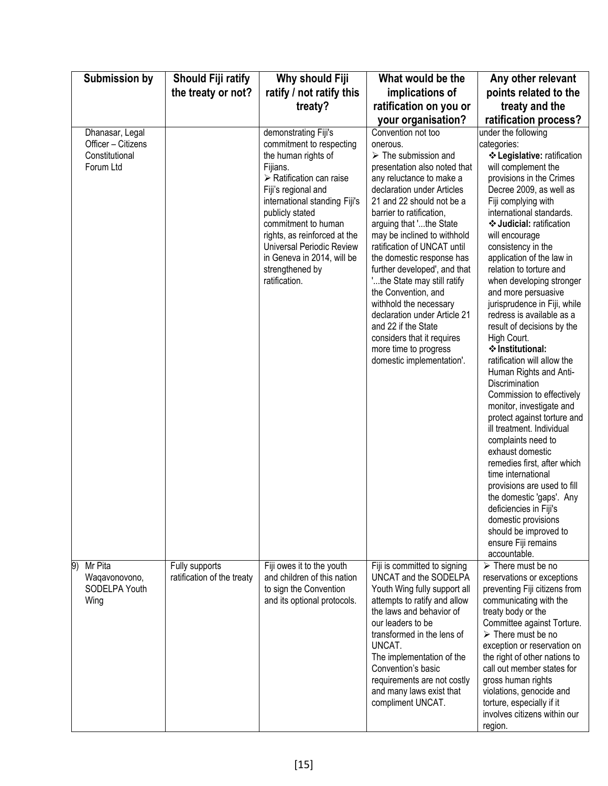| <b>Submission by</b>                                                 | <b>Should Fiji ratify</b>                    | Why should Fiji                                                                                                                                                                                                                                                                                                                                                 | What would be the                                                                                                                                                                                                                                                                                                                                                                                                                                                                                                                                                                                         | Any other relevant                                                                                                                                                                                                                                                                                                                                                                                                                                                                                                                                                                                                                                                                                                                                                                                                                                                                                                                                                                         |
|----------------------------------------------------------------------|----------------------------------------------|-----------------------------------------------------------------------------------------------------------------------------------------------------------------------------------------------------------------------------------------------------------------------------------------------------------------------------------------------------------------|-----------------------------------------------------------------------------------------------------------------------------------------------------------------------------------------------------------------------------------------------------------------------------------------------------------------------------------------------------------------------------------------------------------------------------------------------------------------------------------------------------------------------------------------------------------------------------------------------------------|--------------------------------------------------------------------------------------------------------------------------------------------------------------------------------------------------------------------------------------------------------------------------------------------------------------------------------------------------------------------------------------------------------------------------------------------------------------------------------------------------------------------------------------------------------------------------------------------------------------------------------------------------------------------------------------------------------------------------------------------------------------------------------------------------------------------------------------------------------------------------------------------------------------------------------------------------------------------------------------------|
|                                                                      | the treaty or not?                           | ratify / not ratify this                                                                                                                                                                                                                                                                                                                                        | implications of                                                                                                                                                                                                                                                                                                                                                                                                                                                                                                                                                                                           | points related to the                                                                                                                                                                                                                                                                                                                                                                                                                                                                                                                                                                                                                                                                                                                                                                                                                                                                                                                                                                      |
|                                                                      |                                              | treaty?                                                                                                                                                                                                                                                                                                                                                         | ratification on you or                                                                                                                                                                                                                                                                                                                                                                                                                                                                                                                                                                                    | treaty and the                                                                                                                                                                                                                                                                                                                                                                                                                                                                                                                                                                                                                                                                                                                                                                                                                                                                                                                                                                             |
|                                                                      |                                              |                                                                                                                                                                                                                                                                                                                                                                 | your organisation?                                                                                                                                                                                                                                                                                                                                                                                                                                                                                                                                                                                        | ratification process?                                                                                                                                                                                                                                                                                                                                                                                                                                                                                                                                                                                                                                                                                                                                                                                                                                                                                                                                                                      |
| Dhanasar, Legal<br>Officer - Citizens<br>Constitutional<br>Forum Ltd |                                              | demonstrating Fiji's<br>commitment to respecting<br>the human rights of<br>Fijians.<br>$\triangleright$ Ratification can raise<br>Fiji's regional and<br>international standing Fiji's<br>publicly stated<br>commitment to human<br>rights, as reinforced at the<br>Universal Periodic Review<br>in Geneva in 2014, will be<br>strengthened by<br>ratification. | Convention not too<br>onerous.<br>$\triangleright$ The submission and<br>presentation also noted that<br>any reluctance to make a<br>declaration under Articles<br>21 and 22 should not be a<br>barrier to ratification,<br>arguing that 'the State<br>may be inclined to withhold<br>ratification of UNCAT until<br>the domestic response has<br>further developed', and that<br>'the State may still ratify<br>the Convention, and<br>withhold the necessary<br>declaration under Article 21<br>and 22 if the State<br>considers that it requires<br>more time to progress<br>domestic implementation'. | under the following<br>categories:<br>❖ Legislative: ratification<br>will complement the<br>provisions in the Crimes<br>Decree 2009, as well as<br>Fiji complying with<br>international standards.<br>❖ Judicial: ratification<br>will encourage<br>consistency in the<br>application of the law in<br>relation to torture and<br>when developing stronger<br>and more persuasive<br>jurisprudence in Fiji, while<br>redress is available as a<br>result of decisions by the<br>High Court.<br>❖ Institutional:<br>ratification will allow the<br>Human Rights and Anti-<br>Discrimination<br>Commission to effectively<br>monitor, investigate and<br>protect against torture and<br>ill treatment. Individual<br>complaints need to<br>exhaust domestic<br>remedies first, after which<br>time international<br>provisions are used to fill<br>the domestic 'gaps'. Any<br>deficiencies in Fiji's<br>domestic provisions<br>should be improved to<br>ensure Fiji remains<br>accountable. |
| 9)<br>Mr Pita<br>Waqavonovono,<br>SODELPA Youth<br>Wing              | Fully supports<br>ratification of the treaty | Fiji owes it to the youth<br>and children of this nation<br>to sign the Convention<br>and its optional protocols.                                                                                                                                                                                                                                               | Fiji is committed to signing<br>UNCAT and the SODELPA<br>Youth Wing fully support all<br>attempts to ratify and allow<br>the laws and behavior of<br>our leaders to be<br>transformed in the lens of<br>UNCAT.<br>The implementation of the<br>Convention's basic<br>requirements are not costly<br>and many laws exist that<br>compliment UNCAT.                                                                                                                                                                                                                                                         | $\triangleright$ There must be no<br>reservations or exceptions<br>preventing Fiji citizens from<br>communicating with the<br>treaty body or the<br>Committee against Torture.<br>$\triangleright$ There must be no<br>exception or reservation on<br>the right of other nations to<br>call out member states for<br>gross human rights<br>violations, genocide and<br>torture, especially if it<br>involves citizens within our<br>region.                                                                                                                                                                                                                                                                                                                                                                                                                                                                                                                                                |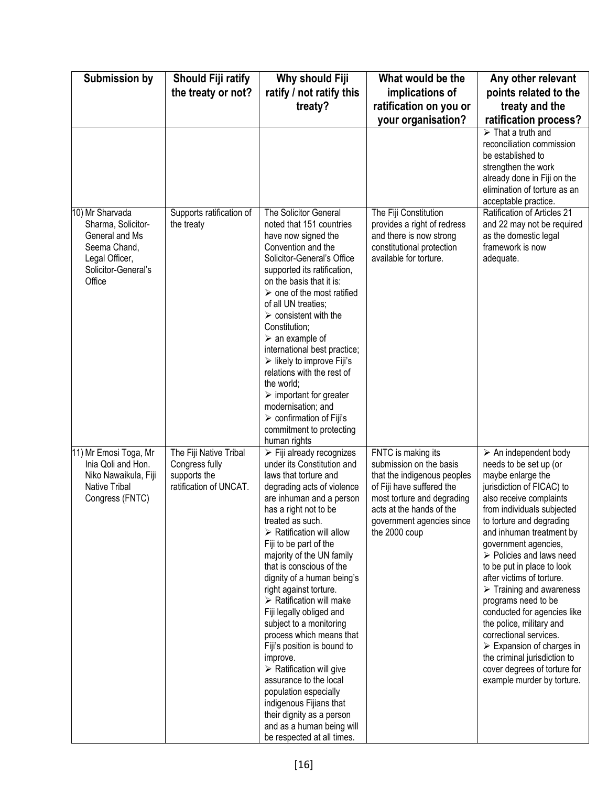| <b>Submission by</b>                                                                                                       | <b>Should Fiji ratify</b><br>the treaty or not?                                    | Why should Fiji<br>ratify / not ratify this<br>treaty?                                                                                                                                                                                                                                                                                                                                                                                                                                                                                                                                                                                                                                                                                                                                  | What would be the<br>implications of<br>ratification on you or<br>your organisation?                                                                                                                              | Any other relevant<br>points related to the<br>treaty and the<br>ratification process?                                                                                                                                                                                                                                                                                                                                                                                                                                                                                                                                                                           |
|----------------------------------------------------------------------------------------------------------------------------|------------------------------------------------------------------------------------|-----------------------------------------------------------------------------------------------------------------------------------------------------------------------------------------------------------------------------------------------------------------------------------------------------------------------------------------------------------------------------------------------------------------------------------------------------------------------------------------------------------------------------------------------------------------------------------------------------------------------------------------------------------------------------------------------------------------------------------------------------------------------------------------|-------------------------------------------------------------------------------------------------------------------------------------------------------------------------------------------------------------------|------------------------------------------------------------------------------------------------------------------------------------------------------------------------------------------------------------------------------------------------------------------------------------------------------------------------------------------------------------------------------------------------------------------------------------------------------------------------------------------------------------------------------------------------------------------------------------------------------------------------------------------------------------------|
|                                                                                                                            |                                                                                    |                                                                                                                                                                                                                                                                                                                                                                                                                                                                                                                                                                                                                                                                                                                                                                                         |                                                                                                                                                                                                                   | $\triangleright$ That a truth and<br>reconciliation commission<br>be established to<br>strengthen the work<br>already done in Fiji on the<br>elimination of torture as an<br>acceptable practice.                                                                                                                                                                                                                                                                                                                                                                                                                                                                |
| 10) Mr Sharvada<br>Sharma, Solicitor-<br>General and Ms<br>Seema Chand,<br>Legal Officer,<br>Solicitor-General's<br>Office | Supports ratification of<br>the treaty                                             | The Solicitor General<br>noted that 151 countries<br>have now signed the<br>Convention and the<br>Solicitor-General's Office<br>supported its ratification,<br>on the basis that it is:<br>$\triangleright$ one of the most ratified<br>of all UN treaties;<br>$\triangleright$ consistent with the<br>Constitution;<br>$\triangleright$ an example of<br>international best practice;<br>$\triangleright$ likely to improve Fiji's<br>relations with the rest of<br>the world;<br>$\triangleright$ important for greater<br>modernisation; and<br>$\triangleright$ confirmation of Fiji's<br>commitment to protecting<br>human rights                                                                                                                                                  | The Fiji Constitution<br>provides a right of redress<br>and there is now strong<br>constitutional protection<br>available for torture.                                                                            | Ratification of Articles 21<br>and 22 may not be required<br>as the domestic legal<br>framework is now<br>adequate.                                                                                                                                                                                                                                                                                                                                                                                                                                                                                                                                              |
| 11) Mr Emosi Toga, Mr<br>Inia Qoli and Hon.<br>Niko Nawaikula, Fiji<br>Native Tribal<br>Congress (FNTC)                    | The Fiji Native Tribal<br>Congress fully<br>supports the<br>ratification of UNCAT. | $\triangleright$ Fiji already recognizes<br>under its Constitution and<br>laws that torture and<br>degrading acts of violence<br>are inhuman and a person<br>has a right not to be<br>treated as such.<br>$\triangleright$ Ratification will allow<br>Fiji to be part of the<br>majority of the UN family<br>that is conscious of the<br>dignity of a human being's<br>right against torture.<br>$\triangleright$ Ratification will make<br>Fiji legally obliged and<br>subject to a monitoring<br>process which means that<br>Fiji's position is bound to<br>improve.<br>$\triangleright$ Ratification will give<br>assurance to the local<br>population especially<br>indigenous Fijians that<br>their dignity as a person<br>and as a human being will<br>be respected at all times. | FNTC is making its<br>submission on the basis<br>that the indigenous peoples<br>of Fiji have suffered the<br>most torture and degrading<br>acts at the hands of the<br>government agencies since<br>the 2000 coup | $\triangleright$ An independent body<br>needs to be set up (or<br>maybe enlarge the<br>jurisdiction of FICAC) to<br>also receive complaints<br>from individuals subjected<br>to torture and degrading<br>and inhuman treatment by<br>government agencies,<br>$\triangleright$ Policies and laws need<br>to be put in place to look<br>after victims of torture.<br>$\triangleright$ Training and awareness<br>programs need to be<br>conducted for agencies like<br>the police, military and<br>correctional services.<br>$\triangleright$ Expansion of charges in<br>the criminal jurisdiction to<br>cover degrees of torture for<br>example murder by torture. |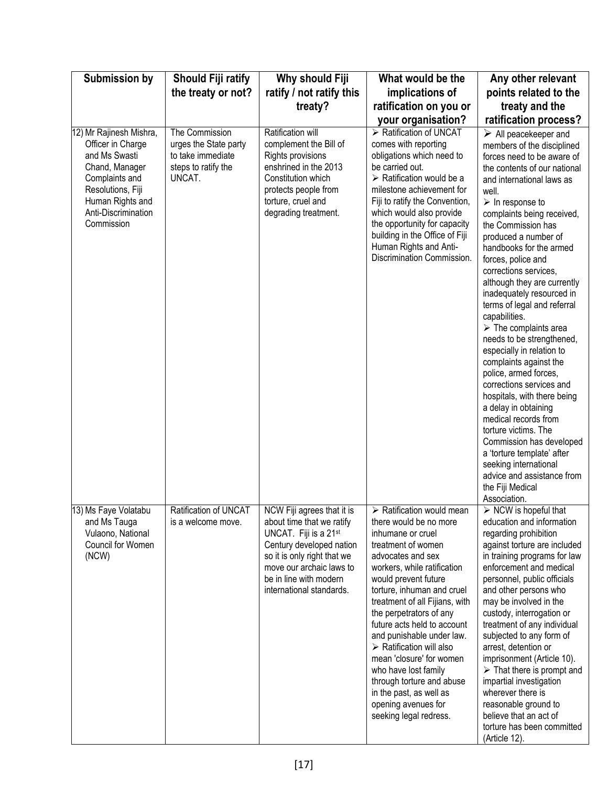| <b>Submission by</b>                                                                                                                                                            | Should Fiji ratify                                                                            | Why should Fiji                                                                                                                                                                                                               | What would be the                                                                                                                                                                                                                                                                                                                                                                                                                                                                                                                                        | Any other relevant                                                                                                                                                                                                                                                                                                                                                                                                                                                                                                                                                                                                                                                                                                                                                                                                                                                                                                                                |
|---------------------------------------------------------------------------------------------------------------------------------------------------------------------------------|-----------------------------------------------------------------------------------------------|-------------------------------------------------------------------------------------------------------------------------------------------------------------------------------------------------------------------------------|----------------------------------------------------------------------------------------------------------------------------------------------------------------------------------------------------------------------------------------------------------------------------------------------------------------------------------------------------------------------------------------------------------------------------------------------------------------------------------------------------------------------------------------------------------|---------------------------------------------------------------------------------------------------------------------------------------------------------------------------------------------------------------------------------------------------------------------------------------------------------------------------------------------------------------------------------------------------------------------------------------------------------------------------------------------------------------------------------------------------------------------------------------------------------------------------------------------------------------------------------------------------------------------------------------------------------------------------------------------------------------------------------------------------------------------------------------------------------------------------------------------------|
|                                                                                                                                                                                 | the treaty or not?                                                                            | ratify / not ratify this<br>treaty?                                                                                                                                                                                           | implications of<br>ratification on you or                                                                                                                                                                                                                                                                                                                                                                                                                                                                                                                | points related to the                                                                                                                                                                                                                                                                                                                                                                                                                                                                                                                                                                                                                                                                                                                                                                                                                                                                                                                             |
|                                                                                                                                                                                 |                                                                                               |                                                                                                                                                                                                                               |                                                                                                                                                                                                                                                                                                                                                                                                                                                                                                                                                          | treaty and the                                                                                                                                                                                                                                                                                                                                                                                                                                                                                                                                                                                                                                                                                                                                                                                                                                                                                                                                    |
| 12) Mr Rajinesh Mishra,<br>Officer in Charge<br>and Ms Swasti<br>Chand, Manager<br>Complaints and<br>Resolutions, Fiji<br>Human Rights and<br>Anti-Discrimination<br>Commission | The Commission<br>urges the State party<br>to take immediate<br>steps to ratify the<br>UNCAT. | Ratification will<br>complement the Bill of<br>Rights provisions<br>enshrined in the 2013<br>Constitution which<br>protects people from<br>torture, cruel and<br>degrading treatment.                                         | your organisation?<br>> Ratification of UNCAT<br>comes with reporting<br>obligations which need to<br>be carried out.<br>$\triangleright$ Ratification would be a<br>milestone achievement for<br>Fiji to ratify the Convention,<br>which would also provide<br>the opportunity for capacity<br>building in the Office of Fiji<br>Human Rights and Anti-<br>Discrimination Commission.                                                                                                                                                                   | ratification process?<br>$\triangleright$ All peacekeeper and<br>members of the disciplined<br>forces need to be aware of<br>the contents of our national<br>and international laws as<br>well.<br>$\triangleright$ In response to<br>complaints being received,<br>the Commission has<br>produced a number of<br>handbooks for the armed<br>forces, police and<br>corrections services,<br>although they are currently<br>inadequately resourced in<br>terms of legal and referral<br>capabilities.<br>$\triangleright$ The complaints area<br>needs to be strengthened,<br>especially in relation to<br>complaints against the<br>police, armed forces,<br>corrections services and<br>hospitals, with there being<br>a delay in obtaining<br>medical records from<br>torture victims. The<br>Commission has developed<br>a 'torture template' after<br>seeking international<br>advice and assistance from<br>the Fiji Medical<br>Association. |
| 13) Ms Faye Volatabu<br>and Ms Tauga<br>Vulaono, National<br>Council for Women<br>(NCW)                                                                                         | Ratification of UNCAT<br>is a welcome move.                                                   | NCW Fiji agrees that it is<br>about time that we ratify<br>UNCAT. Fiji is a 21st<br>Century developed nation<br>so it is only right that we<br>move our archaic laws to<br>be in line with modern<br>international standards. | $\triangleright$ Ratification would mean<br>there would be no more<br>inhumane or cruel<br>treatment of women<br>advocates and sex<br>workers, while ratification<br>would prevent future<br>torture, inhuman and cruel<br>treatment of all Fijians, with<br>the perpetrators of any<br>future acts held to account<br>and punishable under law.<br>$\triangleright$ Ratification will also<br>mean 'closure' for women<br>who have lost family<br>through torture and abuse<br>in the past, as well as<br>opening avenues for<br>seeking legal redress. | $\triangleright$ NCW is hopeful that<br>education and information<br>regarding prohibition<br>against torture are included<br>in training programs for law<br>enforcement and medical<br>personnel, public officials<br>and other persons who<br>may be involved in the<br>custody, interrogation or<br>treatment of any individual<br>subjected to any form of<br>arrest, detention or<br>imprisonment (Article 10).<br>$\triangleright$ That there is prompt and<br>impartial investigation<br>wherever there is<br>reasonable ground to<br>believe that an act of<br>torture has been committed<br>(Article 12).                                                                                                                                                                                                                                                                                                                               |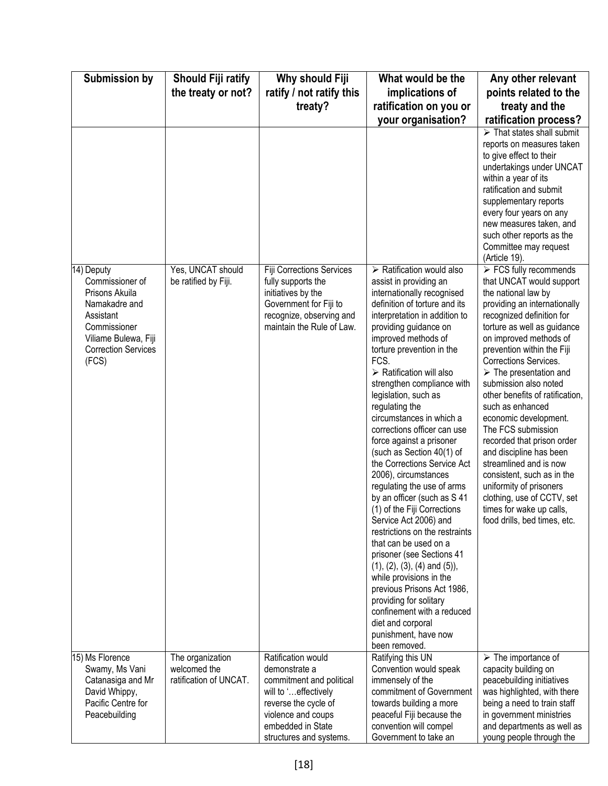| <b>Submission by</b>                                                                                                                                         | Should Fiji ratify                                         | Why should Fiji                                                                                                                                            | What would be the                                                                                                                                                                                                                                                                                                                                                                                                                                                                                                                                                                                                                                                                                                                                                                                                                                                                                                                                                                     | Any other relevant                                                                                                                                                                                                                                                                                                                                                                                                                                                                                                                                                                                                                                                   |
|--------------------------------------------------------------------------------------------------------------------------------------------------------------|------------------------------------------------------------|------------------------------------------------------------------------------------------------------------------------------------------------------------|---------------------------------------------------------------------------------------------------------------------------------------------------------------------------------------------------------------------------------------------------------------------------------------------------------------------------------------------------------------------------------------------------------------------------------------------------------------------------------------------------------------------------------------------------------------------------------------------------------------------------------------------------------------------------------------------------------------------------------------------------------------------------------------------------------------------------------------------------------------------------------------------------------------------------------------------------------------------------------------|----------------------------------------------------------------------------------------------------------------------------------------------------------------------------------------------------------------------------------------------------------------------------------------------------------------------------------------------------------------------------------------------------------------------------------------------------------------------------------------------------------------------------------------------------------------------------------------------------------------------------------------------------------------------|
|                                                                                                                                                              | the treaty or not?                                         | ratify / not ratify this                                                                                                                                   | implications of                                                                                                                                                                                                                                                                                                                                                                                                                                                                                                                                                                                                                                                                                                                                                                                                                                                                                                                                                                       | points related to the                                                                                                                                                                                                                                                                                                                                                                                                                                                                                                                                                                                                                                                |
|                                                                                                                                                              |                                                            | treaty?                                                                                                                                                    | ratification on you or                                                                                                                                                                                                                                                                                                                                                                                                                                                                                                                                                                                                                                                                                                                                                                                                                                                                                                                                                                | treaty and the                                                                                                                                                                                                                                                                                                                                                                                                                                                                                                                                                                                                                                                       |
|                                                                                                                                                              |                                                            |                                                                                                                                                            | your organisation?                                                                                                                                                                                                                                                                                                                                                                                                                                                                                                                                                                                                                                                                                                                                                                                                                                                                                                                                                                    | ratification process?                                                                                                                                                                                                                                                                                                                                                                                                                                                                                                                                                                                                                                                |
|                                                                                                                                                              |                                                            |                                                                                                                                                            |                                                                                                                                                                                                                                                                                                                                                                                                                                                                                                                                                                                                                                                                                                                                                                                                                                                                                                                                                                                       | $\triangleright$ That states shall submit<br>reports on measures taken<br>to give effect to their<br>undertakings under UNCAT<br>within a year of its<br>ratification and submit<br>supplementary reports<br>every four years on any<br>new measures taken, and<br>such other reports as the<br>Committee may request<br>(Article 19).                                                                                                                                                                                                                                                                                                                               |
| 14) Deputy<br>Commissioner of<br>Prisons Akuila<br>Namakadre and<br>Assistant<br>Commissioner<br>Viliame Bulewa, Fiji<br><b>Correction Services</b><br>(FCS) | Yes, UNCAT should<br>be ratified by Fiji.                  | Fiji Corrections Services<br>fully supports the<br>initiatives by the<br>Government for Fiji to<br>recognize, observing and<br>maintain the Rule of Law.   | $\triangleright$ Ratification would also<br>assist in providing an<br>internationally recognised<br>definition of torture and its<br>interpretation in addition to<br>providing guidance on<br>improved methods of<br>torture prevention in the<br>FCS.<br>$\triangleright$ Ratification will also<br>strengthen compliance with<br>legislation, such as<br>regulating the<br>circumstances in which a<br>corrections officer can use<br>force against a prisoner<br>(such as Section 40(1) of<br>the Corrections Service Act<br>2006), circumstances<br>regulating the use of arms<br>by an officer (such as S 41<br>(1) of the Fiji Corrections<br>Service Act 2006) and<br>restrictions on the restraints<br>that can be used on a<br>prisoner (see Sections 41<br>$(1), (2), (3), (4)$ and $(5)$ ,<br>while provisions in the<br>previous Prisons Act 1986,<br>providing for solitary<br>confinement with a reduced<br>diet and corporal<br>punishment, have now<br>been removed. | > FCS fully recommends<br>that UNCAT would support<br>the national law by<br>providing an internationally<br>recognized definition for<br>torture as well as guidance<br>on improved methods of<br>prevention within the Fiji<br>Corrections Services.<br>$\triangleright$ The presentation and<br>submission also noted<br>other benefits of ratification,<br>such as enhanced<br>economic development.<br>The FCS submission<br>recorded that prison order<br>and discipline has been<br>streamlined and is now<br>consistent, such as in the<br>uniformity of prisoners<br>clothing, use of CCTV, set<br>times for wake up calls,<br>food drills, bed times, etc. |
| 15) Ms Florence<br>Swamy, Ms Vani<br>Catanasiga and Mr<br>David Whippy,<br>Pacific Centre for<br>Peacebuilding                                               | The organization<br>welcomed the<br>ratification of UNCAT. | Ratification would<br>demonstrate a<br>commitment and political<br>will to 'effectively<br>reverse the cycle of<br>violence and coups<br>embedded in State | Ratifying this UN<br>Convention would speak<br>immensely of the<br>commitment of Government<br>towards building a more<br>peaceful Fiji because the<br>convention will compel                                                                                                                                                                                                                                                                                                                                                                                                                                                                                                                                                                                                                                                                                                                                                                                                         | $\triangleright$ The importance of<br>capacity building on<br>peacebuilding initiatives<br>was highlighted, with there<br>being a need to train staff<br>in government ministries<br>and departments as well as                                                                                                                                                                                                                                                                                                                                                                                                                                                      |
|                                                                                                                                                              |                                                            | structures and systems.                                                                                                                                    | Government to take an                                                                                                                                                                                                                                                                                                                                                                                                                                                                                                                                                                                                                                                                                                                                                                                                                                                                                                                                                                 | young people through the                                                                                                                                                                                                                                                                                                                                                                                                                                                                                                                                                                                                                                             |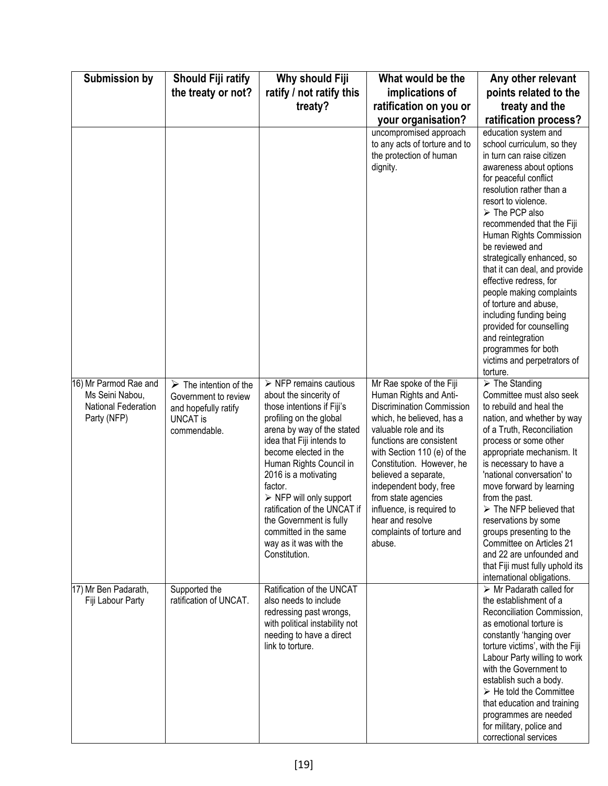| <b>Submission by</b>                                                           | Should Fiji ratify                                                                                                       | Why should Fiji                                                                                                                                                                                                                                                                                                                                                                                                                                     | What would be the                                                                                                                                                                                                                                                                                                                                                                                     | Any other relevant                                                                                                                                                                                                                                                                                                                                                                                                                                                                                                                                                                             |
|--------------------------------------------------------------------------------|--------------------------------------------------------------------------------------------------------------------------|-----------------------------------------------------------------------------------------------------------------------------------------------------------------------------------------------------------------------------------------------------------------------------------------------------------------------------------------------------------------------------------------------------------------------------------------------------|-------------------------------------------------------------------------------------------------------------------------------------------------------------------------------------------------------------------------------------------------------------------------------------------------------------------------------------------------------------------------------------------------------|------------------------------------------------------------------------------------------------------------------------------------------------------------------------------------------------------------------------------------------------------------------------------------------------------------------------------------------------------------------------------------------------------------------------------------------------------------------------------------------------------------------------------------------------------------------------------------------------|
|                                                                                | the treaty or not?                                                                                                       | ratify / not ratify this                                                                                                                                                                                                                                                                                                                                                                                                                            | implications of                                                                                                                                                                                                                                                                                                                                                                                       | points related to the                                                                                                                                                                                                                                                                                                                                                                                                                                                                                                                                                                          |
|                                                                                |                                                                                                                          | treaty?                                                                                                                                                                                                                                                                                                                                                                                                                                             | ratification on you or                                                                                                                                                                                                                                                                                                                                                                                | treaty and the                                                                                                                                                                                                                                                                                                                                                                                                                                                                                                                                                                                 |
|                                                                                |                                                                                                                          |                                                                                                                                                                                                                                                                                                                                                                                                                                                     | your organisation?                                                                                                                                                                                                                                                                                                                                                                                    | ratification process?                                                                                                                                                                                                                                                                                                                                                                                                                                                                                                                                                                          |
|                                                                                |                                                                                                                          |                                                                                                                                                                                                                                                                                                                                                                                                                                                     | uncompromised approach<br>to any acts of torture and to<br>the protection of human<br>dignity.                                                                                                                                                                                                                                                                                                        | education system and<br>school curriculum, so they<br>in turn can raise citizen<br>awareness about options<br>for peaceful conflict<br>resolution rather than a<br>resort to violence.<br>$\triangleright$ The PCP also<br>recommended that the Fiji<br>Human Rights Commission<br>be reviewed and<br>strategically enhanced, so<br>that it can deal, and provide<br>effective redress, for<br>people making complaints<br>of torture and abuse,<br>including funding being<br>provided for counselling<br>and reintegration<br>programmes for both<br>victims and perpetrators of<br>torture. |
| 16) Mr Parmod Rae and<br>Ms Seini Nabou,<br>National Federation<br>Party (NFP) | $\triangleright$ The intention of the<br>Government to review<br>and hopefully ratify<br><b>UNCAT</b> is<br>commendable. | $\triangleright$ NFP remains cautious<br>about the sincerity of<br>those intentions if Fiji's<br>profiling on the global<br>arena by way of the stated<br>idea that Fiji intends to<br>become elected in the<br>Human Rights Council in<br>2016 is a motivating<br>factor.<br>$\triangleright$ NFP will only support<br>ratification of the UNCAT if<br>the Government is fully<br>committed in the same<br>way as it was with the<br>Constitution. | Mr Rae spoke of the Fiji<br>Human Rights and Anti-<br><b>Discrimination Commission</b><br>which, he believed, has a<br>valuable role and its<br>functions are consistent<br>with Section 110 (e) of the<br>Constitution. However, he<br>believed a separate,<br>independent body, free<br>from state agencies<br>influence, is required to<br>hear and resolve<br>complaints of torture and<br>abuse. | $\triangleright$ The Standing<br>Committee must also seek<br>to rebuild and heal the<br>nation, and whether by way<br>of a Truth, Reconciliation<br>process or some other<br>appropriate mechanism. It<br>is necessary to have a<br>'national conversation' to<br>move forward by learning<br>from the past.<br>$\triangleright$ The NFP believed that<br>reservations by some<br>groups presenting to the<br>Committee on Articles 21<br>and 22 are unfounded and<br>that Fiji must fully uphold its<br>international obligations.                                                            |
| 17) Mr Ben Padarath,<br>Fiji Labour Party                                      | Supported the<br>ratification of UNCAT.                                                                                  | Ratification of the UNCAT<br>also needs to include<br>redressing past wrongs,<br>with political instability not<br>needing to have a direct<br>link to torture.                                                                                                                                                                                                                                                                                     |                                                                                                                                                                                                                                                                                                                                                                                                       | $\triangleright$ Mr Padarath called for<br>the establishment of a<br>Reconciliation Commission,<br>as emotional torture is<br>constantly 'hanging over<br>torture victims', with the Fiji<br>Labour Party willing to work<br>with the Government to<br>establish such a body.<br>$\triangleright$ He told the Committee<br>that education and training<br>programmes are needed<br>for military, police and<br>correctional services                                                                                                                                                           |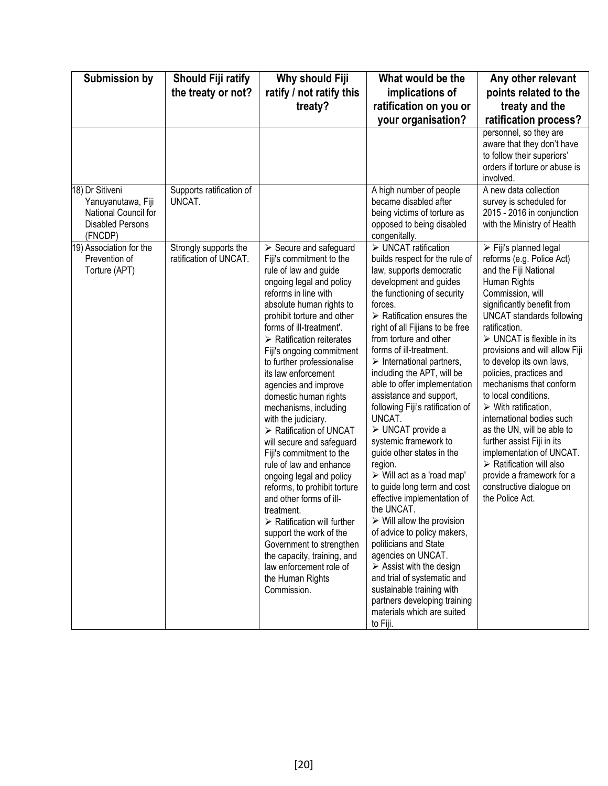<span id="page-19-0"></span>

| <b>Submission by</b>                                                             | <b>Should Fiji ratify</b>                       | Why should Fiji                                                                                                                                                                                                                                                                                                                                                                                                                                                                                                                                                                                                                                                                                                                                                                                                                                                                           | What would be the                                                                                                                                                                                                                                                                                                                                                                                                                                                                                                                                                                                                                                                                                                                                                                                                                                                                                                                                                                                         | Any other relevant                                                                                                                                                                                                                                                                                                                                                                                                                                                                                                                                                                                                                                                                             |
|----------------------------------------------------------------------------------|-------------------------------------------------|-------------------------------------------------------------------------------------------------------------------------------------------------------------------------------------------------------------------------------------------------------------------------------------------------------------------------------------------------------------------------------------------------------------------------------------------------------------------------------------------------------------------------------------------------------------------------------------------------------------------------------------------------------------------------------------------------------------------------------------------------------------------------------------------------------------------------------------------------------------------------------------------|-----------------------------------------------------------------------------------------------------------------------------------------------------------------------------------------------------------------------------------------------------------------------------------------------------------------------------------------------------------------------------------------------------------------------------------------------------------------------------------------------------------------------------------------------------------------------------------------------------------------------------------------------------------------------------------------------------------------------------------------------------------------------------------------------------------------------------------------------------------------------------------------------------------------------------------------------------------------------------------------------------------|------------------------------------------------------------------------------------------------------------------------------------------------------------------------------------------------------------------------------------------------------------------------------------------------------------------------------------------------------------------------------------------------------------------------------------------------------------------------------------------------------------------------------------------------------------------------------------------------------------------------------------------------------------------------------------------------|
|                                                                                  | the treaty or not?                              | ratify / not ratify this                                                                                                                                                                                                                                                                                                                                                                                                                                                                                                                                                                                                                                                                                                                                                                                                                                                                  | implications of                                                                                                                                                                                                                                                                                                                                                                                                                                                                                                                                                                                                                                                                                                                                                                                                                                                                                                                                                                                           | points related to the                                                                                                                                                                                                                                                                                                                                                                                                                                                                                                                                                                                                                                                                          |
|                                                                                  |                                                 | treaty?                                                                                                                                                                                                                                                                                                                                                                                                                                                                                                                                                                                                                                                                                                                                                                                                                                                                                   | ratification on you or                                                                                                                                                                                                                                                                                                                                                                                                                                                                                                                                                                                                                                                                                                                                                                                                                                                                                                                                                                                    | treaty and the                                                                                                                                                                                                                                                                                                                                                                                                                                                                                                                                                                                                                                                                                 |
|                                                                                  |                                                 |                                                                                                                                                                                                                                                                                                                                                                                                                                                                                                                                                                                                                                                                                                                                                                                                                                                                                           | your organisation?                                                                                                                                                                                                                                                                                                                                                                                                                                                                                                                                                                                                                                                                                                                                                                                                                                                                                                                                                                                        | ratification process?                                                                                                                                                                                                                                                                                                                                                                                                                                                                                                                                                                                                                                                                          |
| 18) Dr Sitiveni                                                                  | Supports ratification of                        |                                                                                                                                                                                                                                                                                                                                                                                                                                                                                                                                                                                                                                                                                                                                                                                                                                                                                           | A high number of people                                                                                                                                                                                                                                                                                                                                                                                                                                                                                                                                                                                                                                                                                                                                                                                                                                                                                                                                                                                   | personnel, so they are<br>aware that they don't have<br>to follow their superiors'<br>orders if torture or abuse is<br>involved.<br>A new data collection                                                                                                                                                                                                                                                                                                                                                                                                                                                                                                                                      |
| Yanuyanutawa, Fiji<br>National Council for<br><b>Disabled Persons</b><br>(FNCDP) | UNCAT.                                          |                                                                                                                                                                                                                                                                                                                                                                                                                                                                                                                                                                                                                                                                                                                                                                                                                                                                                           | became disabled after<br>being victims of torture as<br>opposed to being disabled<br>congenitally.                                                                                                                                                                                                                                                                                                                                                                                                                                                                                                                                                                                                                                                                                                                                                                                                                                                                                                        | survey is scheduled for<br>2015 - 2016 in conjunction<br>with the Ministry of Health                                                                                                                                                                                                                                                                                                                                                                                                                                                                                                                                                                                                           |
| 19) Association for the<br>Prevention of<br>Torture (APT)                        | Strongly supports the<br>ratification of UNCAT. | $\triangleright$ Secure and safeguard<br>Fiji's commitment to the<br>rule of law and guide<br>ongoing legal and policy<br>reforms in line with<br>absolute human rights to<br>prohibit torture and other<br>forms of ill-treatment'.<br>$\triangleright$ Ratification reiterates<br>Fiji's ongoing commitment<br>to further professionalise<br>its law enforcement<br>agencies and improve<br>domestic human rights<br>mechanisms, including<br>with the judiciary.<br>> Ratification of UNCAT<br>will secure and safeguard<br>Fiji's commitment to the<br>rule of law and enhance<br>ongoing legal and policy<br>reforms, to prohibit torture<br>and other forms of ill-<br>treatment.<br>$\triangleright$ Ratification will further<br>support the work of the<br>Government to strengthen<br>the capacity, training, and<br>law enforcement role of<br>the Human Rights<br>Commission. | > UNCAT ratification<br>builds respect for the rule of<br>law, supports democratic<br>development and guides<br>the functioning of security<br>forces.<br>$\triangleright$ Ratification ensures the<br>right of all Fijians to be free<br>from torture and other<br>forms of ill-treatment.<br>$\triangleright$ International partners,<br>including the APT, will be<br>able to offer implementation<br>assistance and support,<br>following Fiji's ratification of<br>UNCAT.<br>$\triangleright$ UNCAT provide a<br>systemic framework to<br>guide other states in the<br>region.<br>> Will act as a 'road map'<br>to guide long term and cost<br>effective implementation of<br>the UNCAT.<br>$\triangleright$ Will allow the provision<br>of advice to policy makers,<br>politicians and State<br>agencies on UNCAT.<br>$\triangleright$ Assist with the design<br>and trial of systematic and<br>sustainable training with<br>partners developing training<br>materials which are suited<br>to Fiji. | $\triangleright$ Fiji's planned legal<br>reforms (e.g. Police Act)<br>and the Fiji National<br>Human Rights<br>Commission, will<br>significantly benefit from<br><b>UNCAT</b> standards following<br>ratification.<br>$\triangleright$ UNCAT is flexible in its<br>provisions and will allow Fiji<br>to develop its own laws,<br>policies, practices and<br>mechanisms that conform<br>to local conditions.<br>$\triangleright$ With ratification,<br>international bodies such<br>as the UN, will be able to<br>further assist Fiji in its<br>implementation of UNCAT.<br>$\triangleright$ Ratification will also<br>provide a framework for a<br>constructive dialogue on<br>the Police Act. |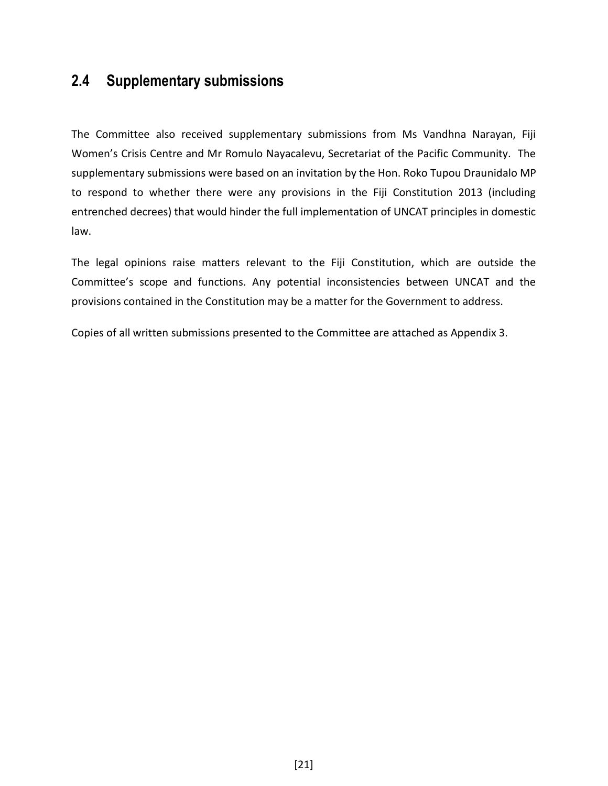## **2.4 Supplementary submissions**

The Committee also received supplementary submissions from Ms Vandhna Narayan, Fiji Women's Crisis Centre and Mr Romulo Nayacalevu, Secretariat of the Pacific Community. The supplementary submissions were based on an invitation by the Hon. Roko Tupou Draunidalo MP to respond to whether there were any provisions in the Fiji Constitution 2013 (including entrenched decrees) that would hinder the full implementation of UNCAT principles in domestic law.

The legal opinions raise matters relevant to the Fiji Constitution, which are outside the Committee's scope and functions. Any potential inconsistencies between UNCAT and the provisions contained in the Constitution may be a matter for the Government to address.

Copies of all written submissions presented to the Committee are attached as Appendix 3.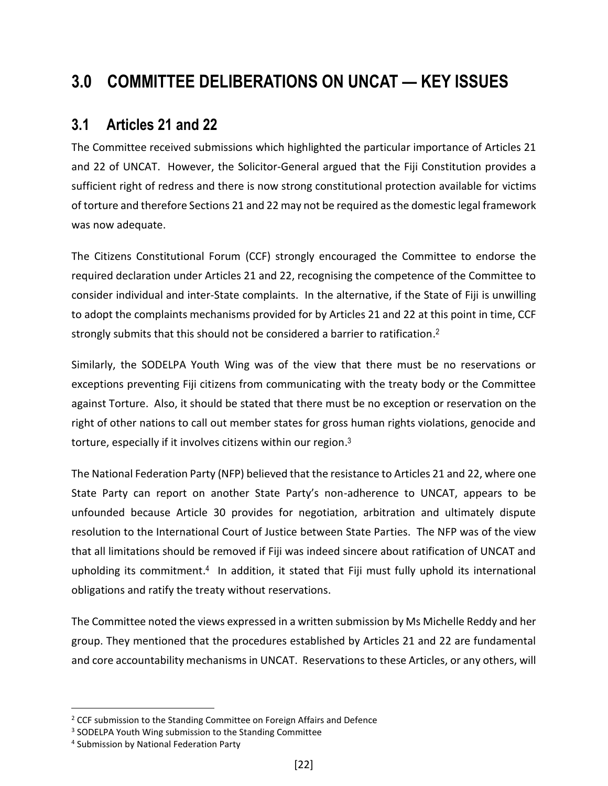# <span id="page-21-0"></span>**3.0 COMMITTEE DELIBERATIONS ON UNCAT — KEY ISSUES**

## <span id="page-21-1"></span>**3.1 Articles 21 and 22**

The Committee received submissions which highlighted the particular importance of Articles 21 and 22 of UNCAT. However, the Solicitor-General argued that the Fiji Constitution provides a sufficient right of redress and there is now strong constitutional protection available for victims of torture and therefore Sections 21 and 22 may not be required as the domestic legal framework was now adequate.

The Citizens Constitutional Forum (CCF) strongly encouraged the Committee to endorse the required declaration under Articles 21 and 22, recognising the competence of the Committee to consider individual and inter-State complaints. In the alternative, if the State of Fiji is unwilling to adopt the complaints mechanisms provided for by Articles 21 and 22 at this point in time, CCF strongly submits that this should not be considered a barrier to ratification.<sup>2</sup>

Similarly, the SODELPA Youth Wing was of the view that there must be no reservations or exceptions preventing Fiji citizens from communicating with the treaty body or the Committee against Torture. Also, it should be stated that there must be no exception or reservation on the right of other nations to call out member states for gross human rights violations, genocide and torture, especially if it involves citizens within our region.<sup>3</sup>

The National Federation Party (NFP) believed that the resistance to Articles 21 and 22, where one State Party can report on another State Party's non-adherence to UNCAT, appears to be unfounded because Article 30 provides for negotiation, arbitration and ultimately dispute resolution to the International Court of Justice between State Parties. The NFP was of the view that all limitations should be removed if Fiji was indeed sincere about ratification of UNCAT and upholding its commitment.<sup>4</sup> In addition, it stated that Fiji must fully uphold its international obligations and ratify the treaty without reservations.

The Committee noted the views expressed in a written submission by Ms Michelle Reddy and her group. They mentioned that the procedures established by Articles 21 and 22 are fundamental and core accountability mechanisms in UNCAT. Reservations to these Articles, or any others, will

 $\overline{a}$ 

<sup>&</sup>lt;sup>2</sup> CCF submission to the Standing Committee on Foreign Affairs and Defence

<sup>&</sup>lt;sup>3</sup> SODELPA Youth Wing submission to the Standing Committee

<sup>4</sup> Submission by National Federation Party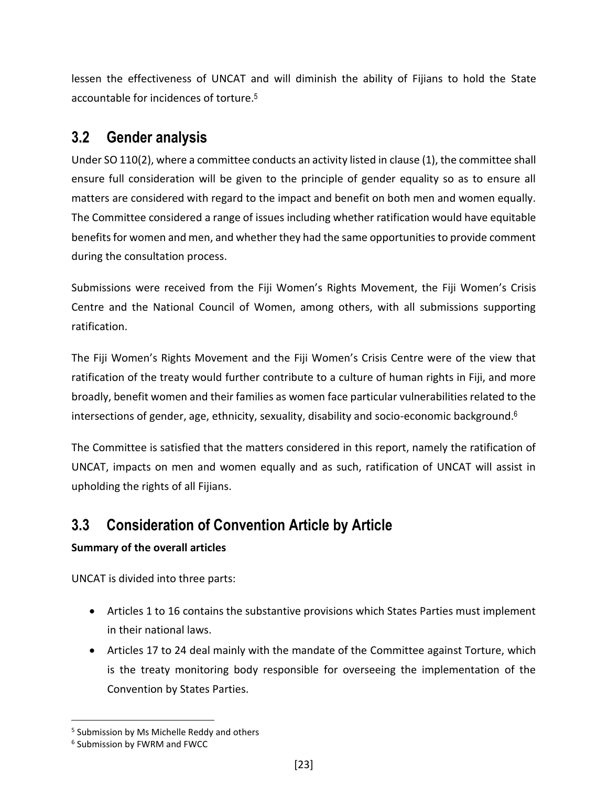lessen the effectiveness of UNCAT and will diminish the ability of Fijians to hold the State accountable for incidences of torture. 5

## <span id="page-22-0"></span>**3.2 Gender analysis**

Under SO 110(2), where a committee conducts an activity listed in clause (1), the committee shall ensure full consideration will be given to the principle of gender equality so as to ensure all matters are considered with regard to the impact and benefit on both men and women equally. The Committee considered a range of issues including whether ratification would have equitable benefits for women and men, and whether they had the same opportunities to provide comment during the consultation process.

Submissions were received from the Fiji Women's Rights Movement, the Fiji Women's Crisis Centre and the National Council of Women, among others, with all submissions supporting ratification.

The Fiji Women's Rights Movement and the Fiji Women's Crisis Centre were of the view that ratification of the treaty would further contribute to a culture of human rights in Fiji, and more broadly, benefit women and their families as women face particular vulnerabilities related to the intersections of gender, age, ethnicity, sexuality, disability and socio-economic background.<sup>6</sup>

The Committee is satisfied that the matters considered in this report, namely the ratification of UNCAT, impacts on men and women equally and as such, ratification of UNCAT will assist in upholding the rights of all Fijians.

## <span id="page-22-1"></span>**3.3 Consideration of Convention Article by Article**

#### **Summary of the overall articles**

UNCAT is divided into three parts:

- Articles 1 to 16 contains the substantive provisions which States Parties must implement in their national laws.
- Articles 17 to 24 deal mainly with the mandate of the Committee against Torture, which is the treaty monitoring body responsible for overseeing the implementation of the Convention by States Parties.

 $\overline{a}$ 

<sup>&</sup>lt;sup>5</sup> Submission by Ms Michelle Reddy and others

<sup>6</sup> Submission by FWRM and FWCC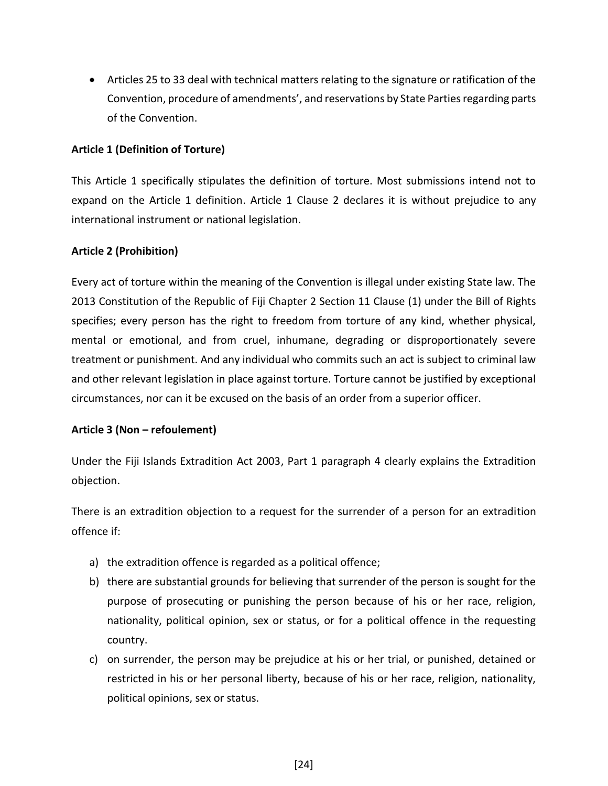Articles 25 to 33 deal with technical matters relating to the signature or ratification of the Convention, procedure of amendments', and reservations by State Parties regarding parts of the Convention.

#### **Article 1 (Definition of Torture)**

This Article 1 specifically stipulates the definition of torture. Most submissions intend not to expand on the Article 1 definition. Article 1 Clause 2 declares it is without prejudice to any international instrument or national legislation.

#### **Article 2 (Prohibition)**

Every act of torture within the meaning of the Convention is illegal under existing State law. The 2013 Constitution of the Republic of Fiji Chapter 2 Section 11 Clause (1) under the Bill of Rights specifies; every person has the right to freedom from torture of any kind, whether physical, mental or emotional, and from cruel, inhumane, degrading or disproportionately severe treatment or punishment. And any individual who commits such an act is subject to criminal law and other relevant legislation in place against torture. Torture cannot be justified by exceptional circumstances, nor can it be excused on the basis of an order from a superior officer.

#### **Article 3 (Non – refoulement)**

Under the Fiji Islands Extradition Act 2003, Part 1 paragraph 4 clearly explains the Extradition objection.

There is an extradition objection to a request for the surrender of a person for an extradition offence if:

- a) the extradition offence is regarded as a political offence;
- b) there are substantial grounds for believing that surrender of the person is sought for the purpose of prosecuting or punishing the person because of his or her race, religion, nationality, political opinion, sex or status, or for a political offence in the requesting country.
- c) on surrender, the person may be prejudice at his or her trial, or punished, detained or restricted in his or her personal liberty, because of his or her race, religion, nationality, political opinions, sex or status.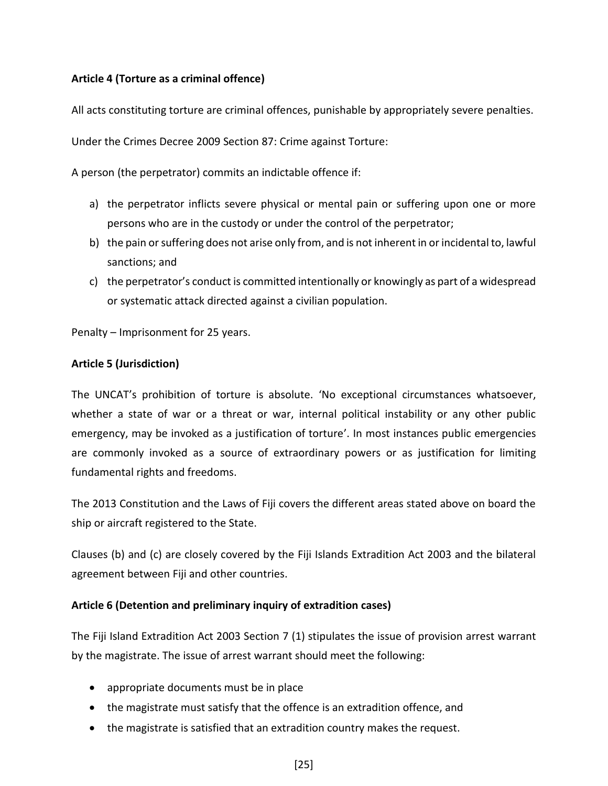#### **Article 4 (Torture as a criminal offence)**

All acts constituting torture are criminal offences, punishable by appropriately severe penalties.

Under the Crimes Decree 2009 Section 87: Crime against Torture:

A person (the perpetrator) commits an indictable offence if:

- a) the perpetrator inflicts severe physical or mental pain or suffering upon one or more persons who are in the custody or under the control of the perpetrator;
- b) the pain or suffering does not arise only from, and is not inherent in or incidental to, lawful sanctions; and
- c) the perpetrator's conduct is committed intentionally or knowingly as part of a widespread or systematic attack directed against a civilian population.

Penalty – Imprisonment for 25 years.

#### **Article 5 (Jurisdiction)**

The UNCAT's prohibition of torture is absolute. 'No exceptional circumstances whatsoever, whether a state of war or a threat or war, internal political instability or any other public emergency, may be invoked as a justification of torture'. In most instances public emergencies are commonly invoked as a source of extraordinary powers or as justification for limiting fundamental rights and freedoms.

The 2013 Constitution and the Laws of Fiji covers the different areas stated above on board the ship or aircraft registered to the State.

Clauses (b) and (c) are closely covered by the Fiji Islands Extradition Act 2003 and the bilateral agreement between Fiji and other countries.

#### **Article 6 (Detention and preliminary inquiry of extradition cases)**

The Fiji Island Extradition Act 2003 Section 7 (1) stipulates the issue of provision arrest warrant by the magistrate. The issue of arrest warrant should meet the following:

- appropriate documents must be in place
- the magistrate must satisfy that the offence is an extradition offence, and
- the magistrate is satisfied that an extradition country makes the request.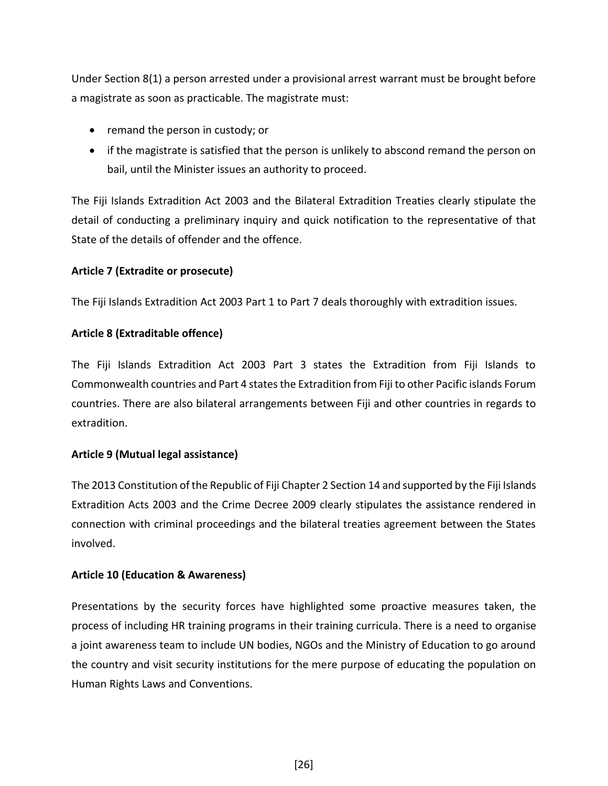Under Section 8(1) a person arrested under a provisional arrest warrant must be brought before a magistrate as soon as practicable. The magistrate must:

- remand the person in custody; or
- if the magistrate is satisfied that the person is unlikely to abscond remand the person on bail, until the Minister issues an authority to proceed.

The Fiji Islands Extradition Act 2003 and the Bilateral Extradition Treaties clearly stipulate the detail of conducting a preliminary inquiry and quick notification to the representative of that State of the details of offender and the offence.

#### **Article 7 (Extradite or prosecute)**

The Fiji Islands Extradition Act 2003 Part 1 to Part 7 deals thoroughly with extradition issues.

#### **Article 8 (Extraditable offence)**

The Fiji Islands Extradition Act 2003 Part 3 states the Extradition from Fiji Islands to Commonwealth countries and Part 4 states the Extradition from Fiji to other Pacific islands Forum countries. There are also bilateral arrangements between Fiji and other countries in regards to extradition.

#### **Article 9 (Mutual legal assistance)**

The 2013 Constitution of the Republic of Fiji Chapter 2 Section 14 and supported by the Fiji Islands Extradition Acts 2003 and the Crime Decree 2009 clearly stipulates the assistance rendered in connection with criminal proceedings and the bilateral treaties agreement between the States involved.

#### **Article 10 (Education & Awareness)**

Presentations by the security forces have highlighted some proactive measures taken, the process of including HR training programs in their training curricula. There is a need to organise a joint awareness team to include UN bodies, NGOs and the Ministry of Education to go around the country and visit security institutions for the mere purpose of educating the population on Human Rights Laws and Conventions.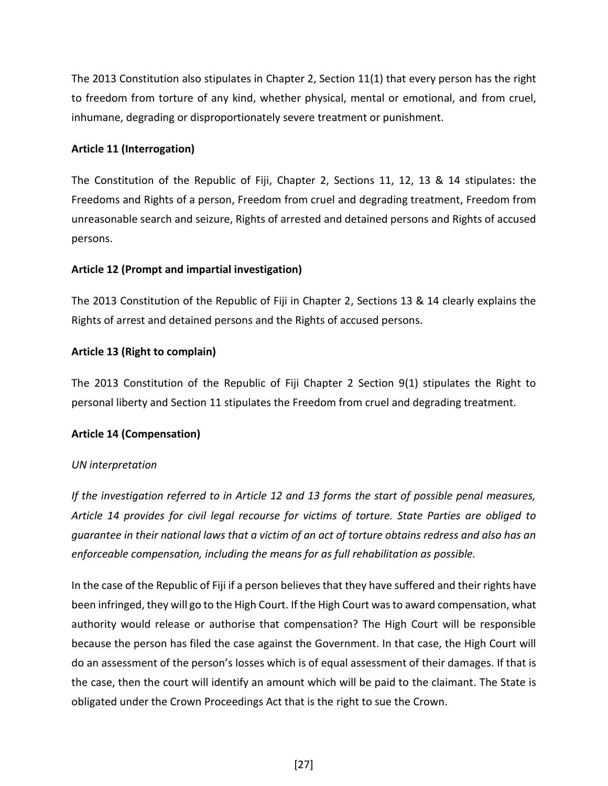The 2013 Constitution also stipulates in Chapter 2, Section 11(1) that every person has the right to freedom from torture of any kind, whether physical, mental or emotional, and from cruel, inhumane, degrading or disproportionately severe treatment or punishment.

#### **Article 11 (Interrogation)**

The Constitution of the Republic of Fiji, Chapter 2, Sections 11, 12, 13 & 14 stipulates: the Freedoms and Rights of a person, Freedom from cruel and degrading treatment, Freedom from unreasonable search and seizure, Rights of arrested and detained persons and Rights of accused persons.

#### **Article 12 (Prompt and impartial investigation)**

The 2013 Constitution of the Republic of Fiji in Chapter 2, Sections 13 & 14 clearly explains the Rights of arrest and detained persons and the Rights of accused persons.

#### **Article 13 (Right to complain)**

The 2013 Constitution of the Republic of Fiji Chapter 2 Section 9(1) stipulates the Right to personal liberty and Section 11 stipulates the Freedom from cruel and degrading treatment.

#### **Article 14 (Compensation)**

#### *UN interpretation*

*If the investigation referred to in Article 12 and 13 forms the start of possible penal measures, Article 14 provides for civil legal recourse for victims of torture. State Parties are obliged to guarantee in their national laws that a victim of an act of torture obtains redress and also has an enforceable compensation, including the means for as full rehabilitation as possible.*

In the case of the Republic of Fiji if a person believes that they have suffered and their rights have been infringed, they will go to the High Court. If the High Court was to award compensation, what authority would release or authorise that compensation? The High Court will be responsible because the person has filed the case against the Government. In that case, the High Court will do an assessment of the person's losses which is of equal assessment of their damages. If that is the case, then the court will identify an amount which will be paid to the claimant. The State is obligated under the Crown Proceedings Act that is the right to sue the Crown.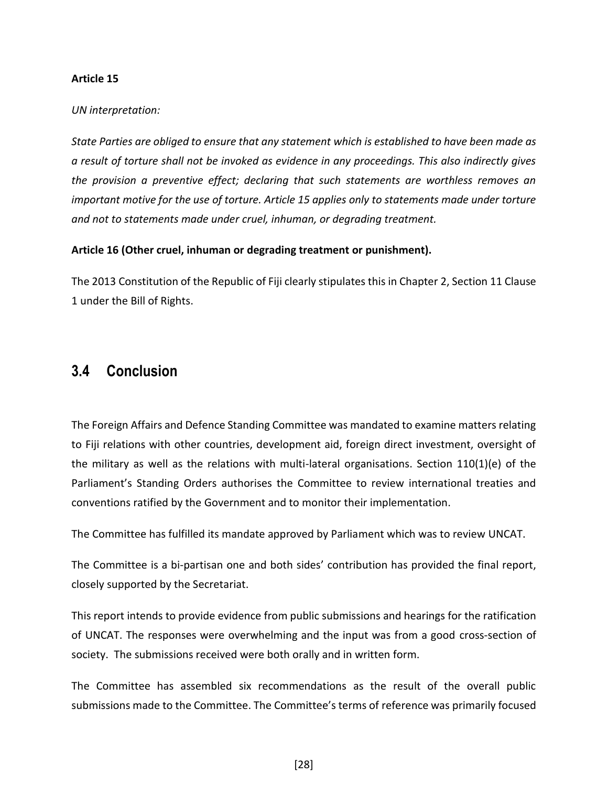#### *UN interpretation:*

*State Parties are obliged to ensure that any statement which is established to have been made as a result of torture shall not be invoked as evidence in any proceedings. This also indirectly gives the provision a preventive effect; declaring that such statements are worthless removes an important motive for the use of torture. Article 15 applies only to statements made under torture and not to statements made under cruel, inhuman, or degrading treatment.*

#### **Article 16 (Other cruel, inhuman or degrading treatment or punishment).**

The 2013 Constitution of the Republic of Fiji clearly stipulates this in Chapter 2, Section 11 Clause 1 under the Bill of Rights.

### <span id="page-27-0"></span>**3.4 Conclusion**

The Foreign Affairs and Defence Standing Committee was mandated to examine matters relating to Fiji relations with other countries, development aid, foreign direct investment, oversight of the military as well as the relations with multi-lateral organisations. Section  $110(1)(e)$  of the Parliament's Standing Orders authorises the Committee to review international treaties and conventions ratified by the Government and to monitor their implementation.

The Committee has fulfilled its mandate approved by Parliament which was to review UNCAT.

The Committee is a bi-partisan one and both sides' contribution has provided the final report, closely supported by the Secretariat.

This report intends to provide evidence from public submissions and hearings for the ratification of UNCAT. The responses were overwhelming and the input was from a good cross-section of society. The submissions received were both orally and in written form.

The Committee has assembled six recommendations as the result of the overall public submissions made to the Committee. The Committee's terms of reference was primarily focused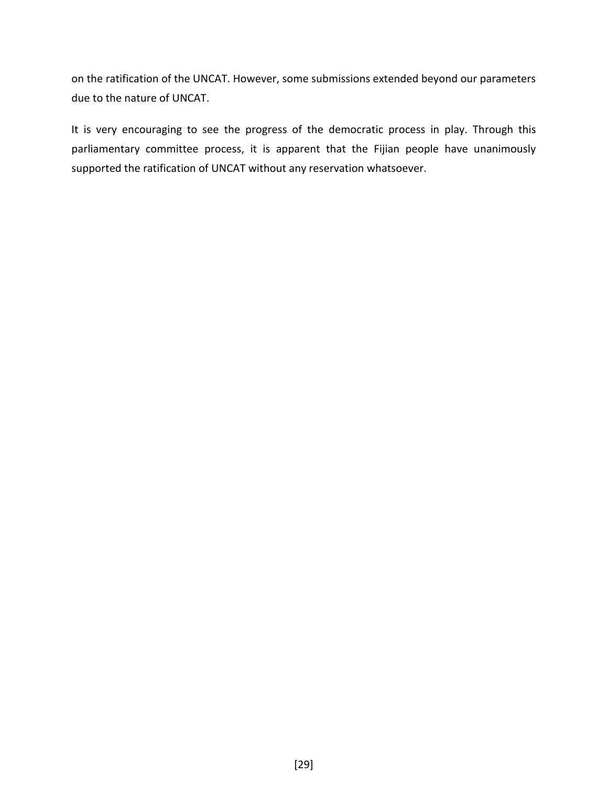on the ratification of the UNCAT. However, some submissions extended beyond our parameters due to the nature of UNCAT.

It is very encouraging to see the progress of the democratic process in play. Through this parliamentary committee process, it is apparent that the Fijian people have unanimously supported the ratification of UNCAT without any reservation whatsoever.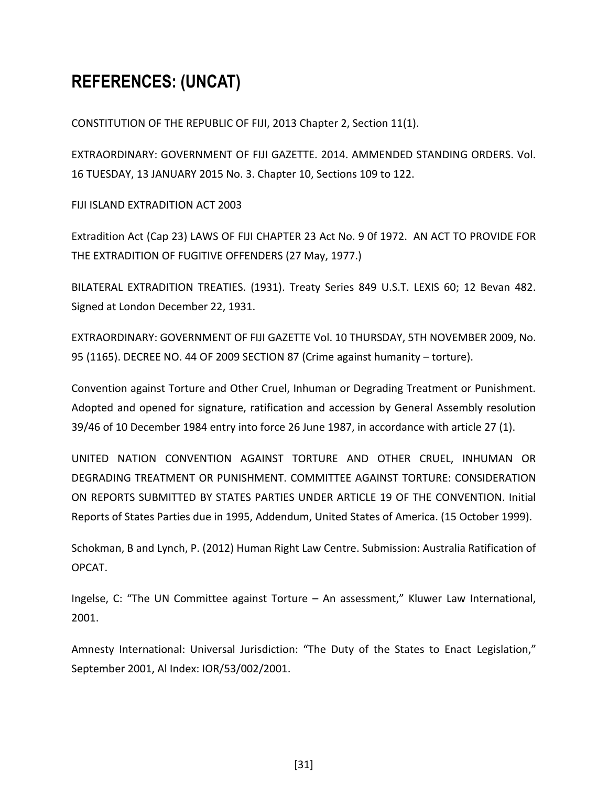# **REFERENCES: (UNCAT)**

CONSTITUTION OF THE REPUBLIC OF FIJI, 2013 Chapter 2, Section 11(1).

EXTRAORDINARY: GOVERNMENT OF FIJI GAZETTE. 2014. AMMENDED STANDING ORDERS. Vol. 16 TUESDAY, 13 JANUARY 2015 No. 3. Chapter 10, Sections 109 to 122.

FIJI ISLAND EXTRADITION ACT 2003

Extradition Act (Cap 23) LAWS OF FIJI CHAPTER 23 Act No. 9 0f 1972. AN ACT TO PROVIDE FOR THE EXTRADITION OF FUGITIVE OFFENDERS (27 May, 1977.)

BILATERAL EXTRADITION TREATIES. (1931). Treaty Series 849 U.S.T. LEXIS 60; 12 Bevan 482. Signed at London December 22, 1931.

EXTRAORDINARY: GOVERNMENT OF FIJI GAZETTE Vol. 10 THURSDAY, 5TH NOVEMBER 2009, No. 95 (1165). DECREE NO. 44 OF 2009 SECTION 87 (Crime against humanity – torture).

Convention against Torture and Other Cruel, Inhuman or Degrading Treatment or Punishment. Adopted and opened for signature, ratification and accession by General Assembly resolution 39/46 of 10 December 1984 entry into force 26 June 1987, in accordance with article 27 (1).

UNITED NATION CONVENTION AGAINST TORTURE AND OTHER CRUEL, INHUMAN OR DEGRADING TREATMENT OR PUNISHMENT. COMMITTEE AGAINST TORTURE: CONSIDERATION ON REPORTS SUBMITTED BY STATES PARTIES UNDER ARTICLE 19 OF THE CONVENTION. Initial Reports of States Parties due in 1995, Addendum, United States of America. (15 October 1999).

Schokman, B and Lynch, P. (2012) Human Right Law Centre. Submission: Australia Ratification of OPCAT.

Ingelse, C: "The UN Committee against Torture – An assessment," Kluwer Law International, 2001.

Amnesty International: Universal Jurisdiction: "The Duty of the States to Enact Legislation," September 2001, Al Index: IOR/53/002/2001.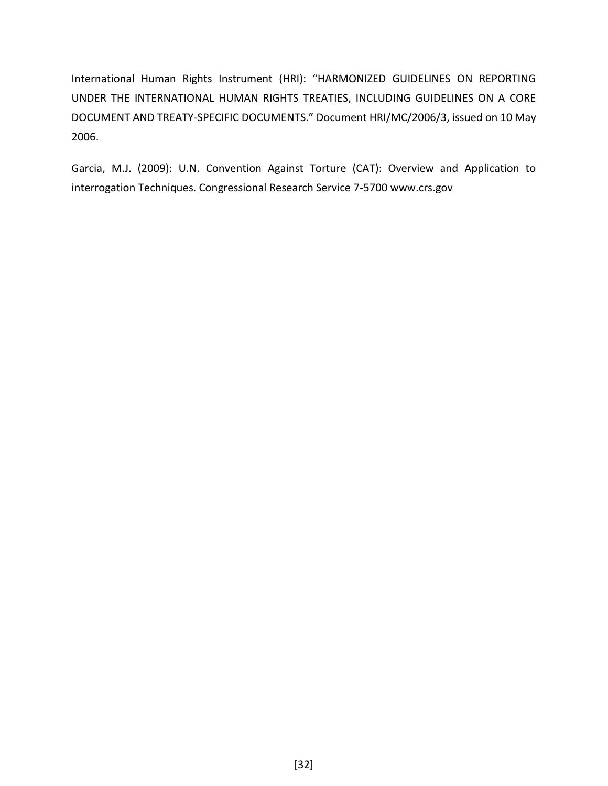International Human Rights Instrument (HRI): "HARMONIZED GUIDELINES ON REPORTING UNDER THE INTERNATIONAL HUMAN RIGHTS TREATIES, INCLUDING GUIDELINES ON A CORE DOCUMENT AND TREATY-SPECIFIC DOCUMENTS." Document HRI/MC/2006/3, issued on 10 May 2006.

Garcia, M.J. (2009): U.N. Convention Against Torture (CAT): Overview and Application to interrogation Techniques. Congressional Research Service 7-5700 www.crs.gov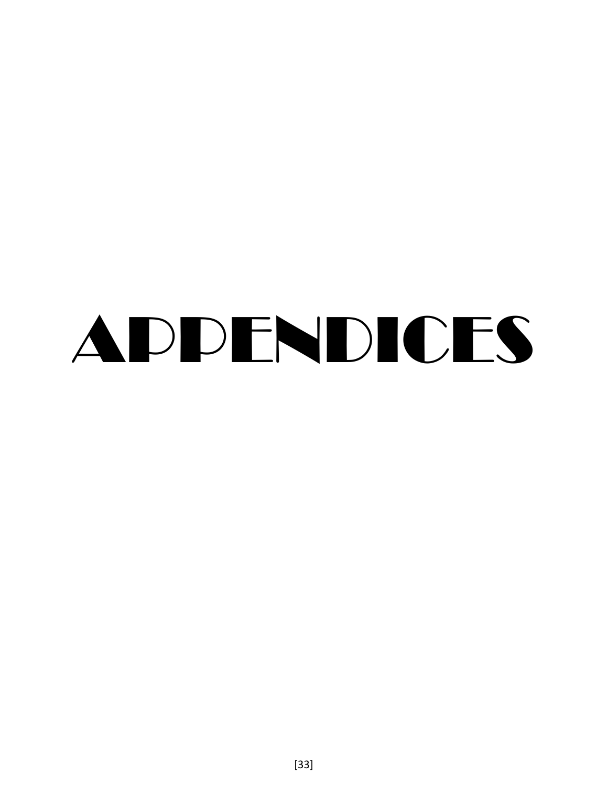# APPENDICES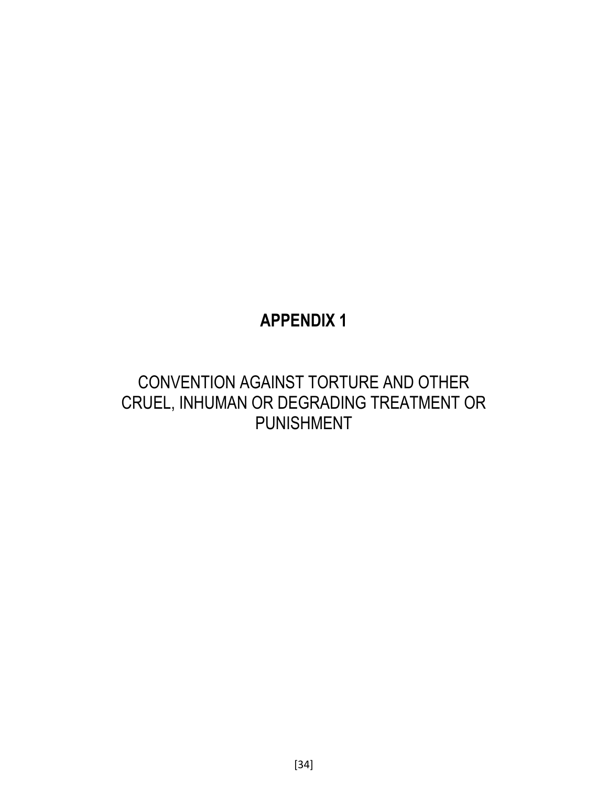# **APPENDIX 1**

# <span id="page-33-2"></span><span id="page-33-1"></span><span id="page-33-0"></span>CONVENTION AGAINST TORTURE AND OTHER CRUEL, INHUMAN OR DEGRADING TREATMENT OR PUNISHMENT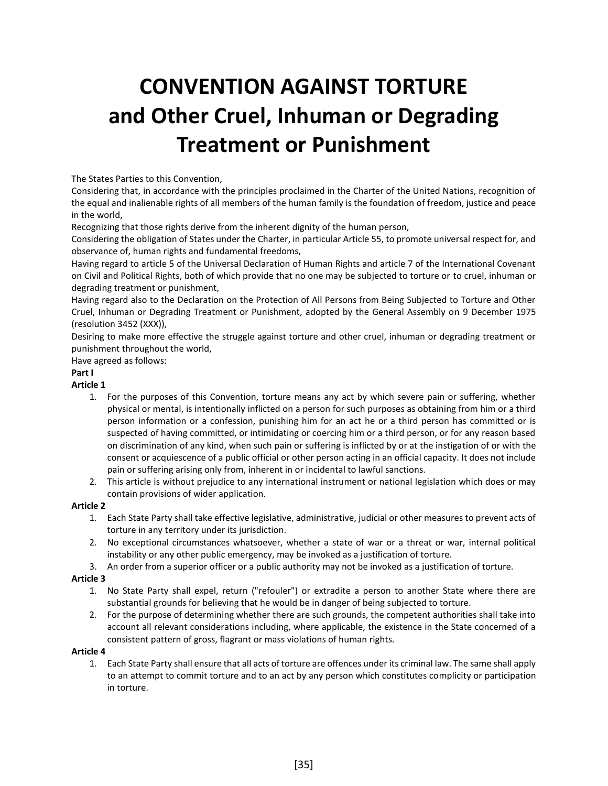# **CONVENTION AGAINST TORTURE and Other Cruel, Inhuman or Degrading Treatment or Punishment**

The States Parties to this Convention,

Considering that, in accordance with the principles proclaimed in the Charter of the United Nations, recognition of the equal and inalienable rights of all members of the human family is the foundation of freedom, justice and peace in the world,

Recognizing that those rights derive from the inherent dignity of the human person,

Considering the obligation of States under the Charter, in particular Article 55, to promote universal respect for, and observance of, human rights and fundamental freedoms,

Having regard to article 5 of the Universal Declaration of Human Rights and article 7 of the International Covenant on Civil and Political Rights, both of which provide that no one may be subjected to torture or to cruel, inhuman or degrading treatment or punishment,

Having regard also to the Declaration on the Protection of All Persons from Being Subjected to Torture and Other Cruel, Inhuman or Degrading Treatment or Punishment, adopted by the General Assembly on 9 December 1975 (resolution 3452 (XXX)),

Desiring to make more effective the struggle against torture and other cruel, inhuman or degrading treatment or punishment throughout the world,

Have agreed as follows:

#### **Part I**

#### **Article 1**

- 1. For the purposes of this Convention, torture means any act by which severe pain or suffering, whether physical or mental, is intentionally inflicted on a person for such purposes as obtaining from him or a third person information or a confession, punishing him for an act he or a third person has committed or is suspected of having committed, or intimidating or coercing him or a third person, or for any reason based on discrimination of any kind, when such pain or suffering is inflicted by or at the instigation of or with the consent or acquiescence of a public official or other person acting in an official capacity. It does not include pain or suffering arising only from, inherent in or incidental to lawful sanctions.
- 2. This article is without prejudice to any international instrument or national legislation which does or may contain provisions of wider application.

#### **Article 2**

- 1. Each State Party shall take effective legislative, administrative, judicial or other measures to prevent acts of torture in any territory under its jurisdiction.
- 2. No exceptional circumstances whatsoever, whether a state of war or a threat or war, internal political instability or any other public emergency, may be invoked as a justification of torture.
- 3. An order from a superior officer or a public authority may not be invoked as a justification of torture.

#### **Article 3**

- 1. No State Party shall expel, return ("refouler") or extradite a person to another State where there are substantial grounds for believing that he would be in danger of being subjected to torture.
- 2. For the purpose of determining whether there are such grounds, the competent authorities shall take into account all relevant considerations including, where applicable, the existence in the State concerned of a consistent pattern of gross, flagrant or mass violations of human rights.

#### **Article 4**

1. Each State Party shall ensure that all acts of torture are offences under its criminal law. The same shall apply to an attempt to commit torture and to an act by any person which constitutes complicity or participation in torture.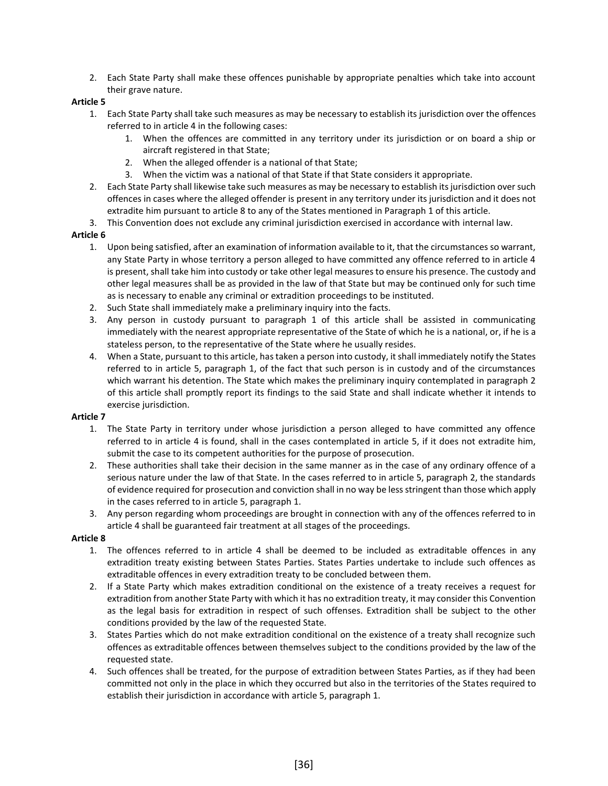2. Each State Party shall make these offences punishable by appropriate penalties which take into account their grave nature.

#### **Article 5**

- 1. Each State Party shall take such measures as may be necessary to establish its jurisdiction over the offences referred to in article 4 in the following cases:
	- 1. When the offences are committed in any territory under its jurisdiction or on board a ship or aircraft registered in that State;
	- 2. When the alleged offender is a national of that State;
	- 3. When the victim was a national of that State if that State considers it appropriate.
- 2. Each State Party shall likewise take such measures as may be necessary to establish its jurisdiction over such offences in cases where the alleged offender is present in any territory under its jurisdiction and it does not extradite him pursuant to article 8 to any of the States mentioned in Paragraph 1 of this article.
- 3. This Convention does not exclude any criminal jurisdiction exercised in accordance with internal law.

#### **Article 6**

- 1. Upon being satisfied, after an examination of information available to it, that the circumstances so warrant, any State Party in whose territory a person alleged to have committed any offence referred to in article 4 is present, shall take him into custody or take other legal measures to ensure his presence. The custody and other legal measures shall be as provided in the law of that State but may be continued only for such time as is necessary to enable any criminal or extradition proceedings to be instituted.
- 2. Such State shall immediately make a preliminary inquiry into the facts.
- 3. Any person in custody pursuant to paragraph 1 of this article shall be assisted in communicating immediately with the nearest appropriate representative of the State of which he is a national, or, if he is a stateless person, to the representative of the State where he usually resides.
- 4. When a State, pursuant to this article, has taken a person into custody, it shall immediately notify the States referred to in article 5, paragraph 1, of the fact that such person is in custody and of the circumstances which warrant his detention. The State which makes the preliminary inquiry contemplated in paragraph 2 of this article shall promptly report its findings to the said State and shall indicate whether it intends to exercise jurisdiction.

#### **Article 7**

- 1. The State Party in territory under whose jurisdiction a person alleged to have committed any offence referred to in article 4 is found, shall in the cases contemplated in article 5, if it does not extradite him, submit the case to its competent authorities for the purpose of prosecution.
- 2. These authorities shall take their decision in the same manner as in the case of any ordinary offence of a serious nature under the law of that State. In the cases referred to in article 5, paragraph 2, the standards of evidence required for prosecution and conviction shall in no way be less stringent than those which apply in the cases referred to in article 5, paragraph 1.
- 3. Any person regarding whom proceedings are brought in connection with any of the offences referred to in article 4 shall be guaranteed fair treatment at all stages of the proceedings.

#### **Article 8**

- 1. The offences referred to in article 4 shall be deemed to be included as extraditable offences in any extradition treaty existing between States Parties. States Parties undertake to include such offences as extraditable offences in every extradition treaty to be concluded between them.
- 2. If a State Party which makes extradition conditional on the existence of a treaty receives a request for extradition from another State Party with which it has no extradition treaty, it may consider this Convention as the legal basis for extradition in respect of such offenses. Extradition shall be subject to the other conditions provided by the law of the requested State.
- 3. States Parties which do not make extradition conditional on the existence of a treaty shall recognize such offences as extraditable offences between themselves subject to the conditions provided by the law of the requested state.
- 4. Such offences shall be treated, for the purpose of extradition between States Parties, as if they had been committed not only in the place in which they occurred but also in the territories of the States required to establish their jurisdiction in accordance with article 5, paragraph 1.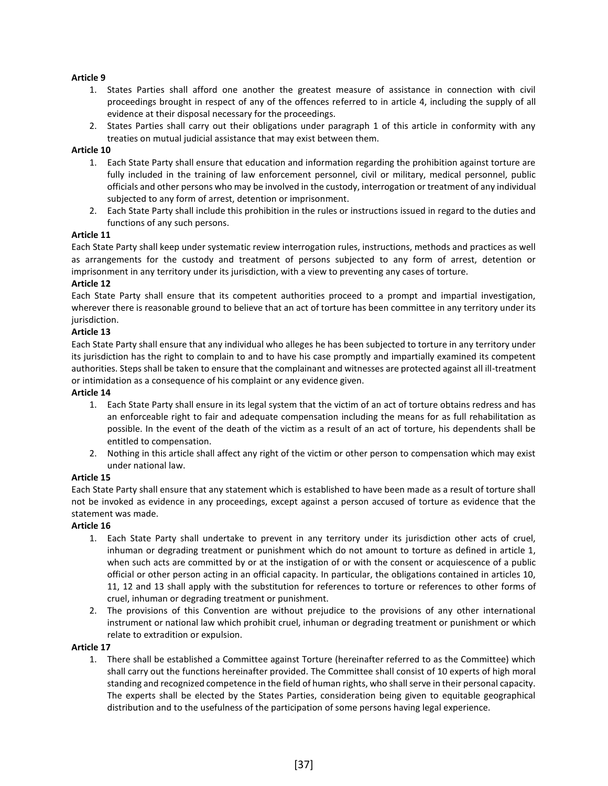- 1. States Parties shall afford one another the greatest measure of assistance in connection with civil proceedings brought in respect of any of the offences referred to in article 4, including the supply of all evidence at their disposal necessary for the proceedings.
- 2. States Parties shall carry out their obligations under paragraph 1 of this article in conformity with any treaties on mutual judicial assistance that may exist between them.

#### **Article 10**

- 1. Each State Party shall ensure that education and information regarding the prohibition against torture are fully included in the training of law enforcement personnel, civil or military, medical personnel, public officials and other persons who may be involved in the custody, interrogation or treatment of any individual subjected to any form of arrest, detention or imprisonment.
- 2. Each State Party shall include this prohibition in the rules or instructions issued in regard to the duties and functions of any such persons.

#### **Article 11**

Each State Party shall keep under systematic review interrogation rules, instructions, methods and practices as well as arrangements for the custody and treatment of persons subjected to any form of arrest, detention or imprisonment in any territory under its jurisdiction, with a view to preventing any cases of torture.

#### **Article 12**

Each State Party shall ensure that its competent authorities proceed to a prompt and impartial investigation, wherever there is reasonable ground to believe that an act of torture has been committee in any territory under its jurisdiction.

#### **Article 13**

Each State Party shall ensure that any individual who alleges he has been subjected to torture in any territory under its jurisdiction has the right to complain to and to have his case promptly and impartially examined its competent authorities. Steps shall be taken to ensure that the complainant and witnesses are protected against all ill-treatment or intimidation as a consequence of his complaint or any evidence given.

#### **Article 14**

- 1. Each State Party shall ensure in its legal system that the victim of an act of torture obtains redress and has an enforceable right to fair and adequate compensation including the means for as full rehabilitation as possible. In the event of the death of the victim as a result of an act of torture, his dependents shall be entitled to compensation.
- 2. Nothing in this article shall affect any right of the victim or other person to compensation which may exist under national law.

#### **Article 15**

Each State Party shall ensure that any statement which is established to have been made as a result of torture shall not be invoked as evidence in any proceedings, except against a person accused of torture as evidence that the statement was made.

#### **Article 16**

- 1. Each State Party shall undertake to prevent in any territory under its jurisdiction other acts of cruel, inhuman or degrading treatment or punishment which do not amount to torture as defined in article 1, when such acts are committed by or at the instigation of or with the consent or acquiescence of a public official or other person acting in an official capacity. In particular, the obligations contained in articles 10, 11, 12 and 13 shall apply with the substitution for references to torture or references to other forms of cruel, inhuman or degrading treatment or punishment.
- 2. The provisions of this Convention are without prejudice to the provisions of any other international instrument or national law which prohibit cruel, inhuman or degrading treatment or punishment or which relate to extradition or expulsion.

#### **Article 17**

1. There shall be established a Committee against Torture (hereinafter referred to as the Committee) which shall carry out the functions hereinafter provided. The Committee shall consist of 10 experts of high moral standing and recognized competence in the field of human rights, who shall serve in their personal capacity. The experts shall be elected by the States Parties, consideration being given to equitable geographical distribution and to the usefulness of the participation of some persons having legal experience.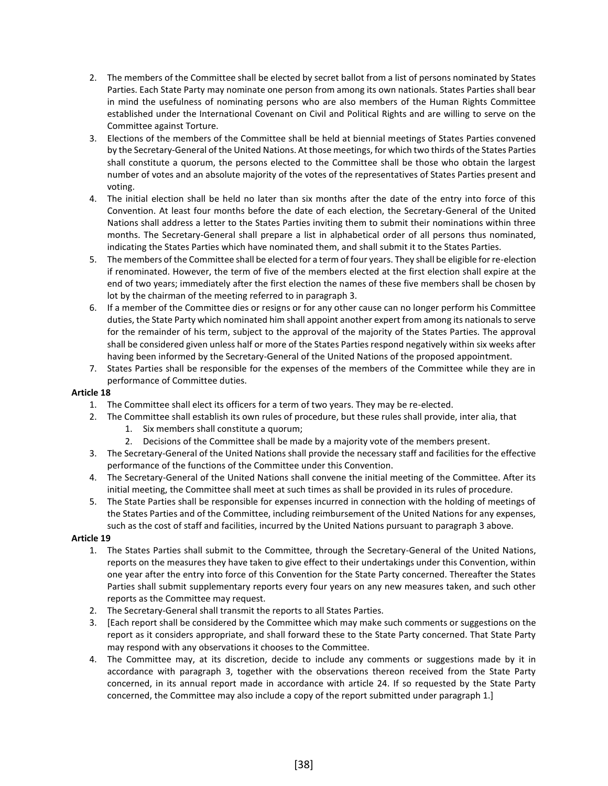- 2. The members of the Committee shall be elected by secret ballot from a list of persons nominated by States Parties. Each State Party may nominate one person from among its own nationals. States Parties shall bear in mind the usefulness of nominating persons who are also members of the Human Rights Committee established under the International Covenant on Civil and Political Rights and are willing to serve on the Committee against Torture.
- 3. Elections of the members of the Committee shall be held at biennial meetings of States Parties convened by the Secretary-General of the United Nations. At those meetings, for which two thirds of the States Parties shall constitute a quorum, the persons elected to the Committee shall be those who obtain the largest number of votes and an absolute majority of the votes of the representatives of States Parties present and voting.
- 4. The initial election shall be held no later than six months after the date of the entry into force of this Convention. At least four months before the date of each election, the Secretary-General of the United Nations shall address a letter to the States Parties inviting them to submit their nominations within three months. The Secretary-General shall prepare a list in alphabetical order of all persons thus nominated, indicating the States Parties which have nominated them, and shall submit it to the States Parties.
- 5. The members of the Committee shall be elected for a term of four years. They shall be eligible for re-election if renominated. However, the term of five of the members elected at the first election shall expire at the end of two years; immediately after the first election the names of these five members shall be chosen by lot by the chairman of the meeting referred to in paragraph 3.
- 6. If a member of the Committee dies or resigns or for any other cause can no longer perform his Committee duties, the State Party which nominated him shall appoint another expert from among its nationals to serve for the remainder of his term, subject to the approval of the majority of the States Parties. The approval shall be considered given unless half or more of the States Parties respond negatively within six weeks after having been informed by the Secretary-General of the United Nations of the proposed appointment.
- 7. States Parties shall be responsible for the expenses of the members of the Committee while they are in performance of Committee duties.

- 1. The Committee shall elect its officers for a term of two years. They may be re-elected.
- 2. The Committee shall establish its own rules of procedure, but these rules shall provide, inter alia, that
	- 1. Six members shall constitute a quorum;
	- 2. Decisions of the Committee shall be made by a majority vote of the members present.
- 3. The Secretary-General of the United Nations shall provide the necessary staff and facilities for the effective performance of the functions of the Committee under this Convention.
- 4. The Secretary-General of the United Nations shall convene the initial meeting of the Committee. After its initial meeting, the Committee shall meet at such times as shall be provided in its rules of procedure.
- 5. The State Parties shall be responsible for expenses incurred in connection with the holding of meetings of the States Parties and of the Committee, including reimbursement of the United Nations for any expenses, such as the cost of staff and facilities, incurred by the United Nations pursuant to paragraph 3 above.

#### **Article 19**

- 1. The States Parties shall submit to the Committee, through the Secretary-General of the United Nations, reports on the measures they have taken to give effect to their undertakings under this Convention, within one year after the entry into force of this Convention for the State Party concerned. Thereafter the States Parties shall submit supplementary reports every four years on any new measures taken, and such other reports as the Committee may request.
- 2. The Secretary-General shall transmit the reports to all States Parties.
- 3. [Each report shall be considered by the Committee which may make such comments or suggestions on the report as it considers appropriate, and shall forward these to the State Party concerned. That State Party may respond with any observations it chooses to the Committee.
- 4. The Committee may, at its discretion, decide to include any comments or suggestions made by it in accordance with paragraph 3, together with the observations thereon received from the State Party concerned, in its annual report made in accordance with article 24. If so requested by the State Party concerned, the Committee may also include a copy of the report submitted under paragraph 1.]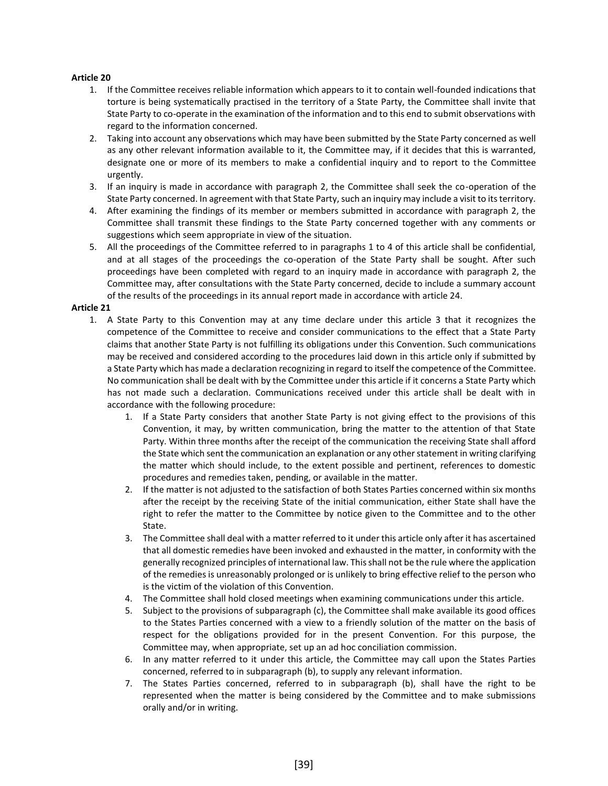- 1. If the Committee receives reliable information which appears to it to contain well-founded indications that torture is being systematically practised in the territory of a State Party, the Committee shall invite that State Party to co-operate in the examination of the information and to this end to submit observations with regard to the information concerned.
- 2. Taking into account any observations which may have been submitted by the State Party concerned as well as any other relevant information available to it, the Committee may, if it decides that this is warranted, designate one or more of its members to make a confidential inquiry and to report to the Committee urgently.
- 3. If an inquiry is made in accordance with paragraph 2, the Committee shall seek the co-operation of the State Party concerned. In agreement with that State Party, such an inquiry may include a visit to its territory.
- 4. After examining the findings of its member or members submitted in accordance with paragraph 2, the Committee shall transmit these findings to the State Party concerned together with any comments or suggestions which seem appropriate in view of the situation.
- 5. All the proceedings of the Committee referred to in paragraphs 1 to 4 of this article shall be confidential, and at all stages of the proceedings the co-operation of the State Party shall be sought. After such proceedings have been completed with regard to an inquiry made in accordance with paragraph 2, the Committee may, after consultations with the State Party concerned, decide to include a summary account of the results of the proceedings in its annual report made in accordance with article 24.

#### **Article 21**

- 1. A State Party to this Convention may at any time declare under this article 3 that it recognizes the competence of the Committee to receive and consider communications to the effect that a State Party claims that another State Party is not fulfilling its obligations under this Convention. Such communications may be received and considered according to the procedures laid down in this article only if submitted by a State Party which has made a declaration recognizing in regard to itself the competence of the Committee. No communication shall be dealt with by the Committee under this article if it concerns a State Party which has not made such a declaration. Communications received under this article shall be dealt with in accordance with the following procedure:
	- 1. If a State Party considers that another State Party is not giving effect to the provisions of this Convention, it may, by written communication, bring the matter to the attention of that State Party. Within three months after the receipt of the communication the receiving State shall afford the State which sent the communication an explanation or any other statement in writing clarifying the matter which should include, to the extent possible and pertinent, references to domestic procedures and remedies taken, pending, or available in the matter.
	- 2. If the matter is not adjusted to the satisfaction of both States Parties concerned within six months after the receipt by the receiving State of the initial communication, either State shall have the right to refer the matter to the Committee by notice given to the Committee and to the other State.
	- 3. The Committee shall deal with a matter referred to it under this article only after it has ascertained that all domestic remedies have been invoked and exhausted in the matter, in conformity with the generally recognized principles of international law. This shall not be the rule where the application of the remedies is unreasonably prolonged or is unlikely to bring effective relief to the person who is the victim of the violation of this Convention.
	- 4. The Committee shall hold closed meetings when examining communications under this article.
	- 5. Subject to the provisions of subparagraph (c), the Committee shall make available its good offices to the States Parties concerned with a view to a friendly solution of the matter on the basis of respect for the obligations provided for in the present Convention. For this purpose, the Committee may, when appropriate, set up an ad hoc conciliation commission.
	- 6. In any matter referred to it under this article, the Committee may call upon the States Parties concerned, referred to in subparagraph (b), to supply any relevant information.
	- 7. The States Parties concerned, referred to in subparagraph (b), shall have the right to be represented when the matter is being considered by the Committee and to make submissions orally and/or in writing.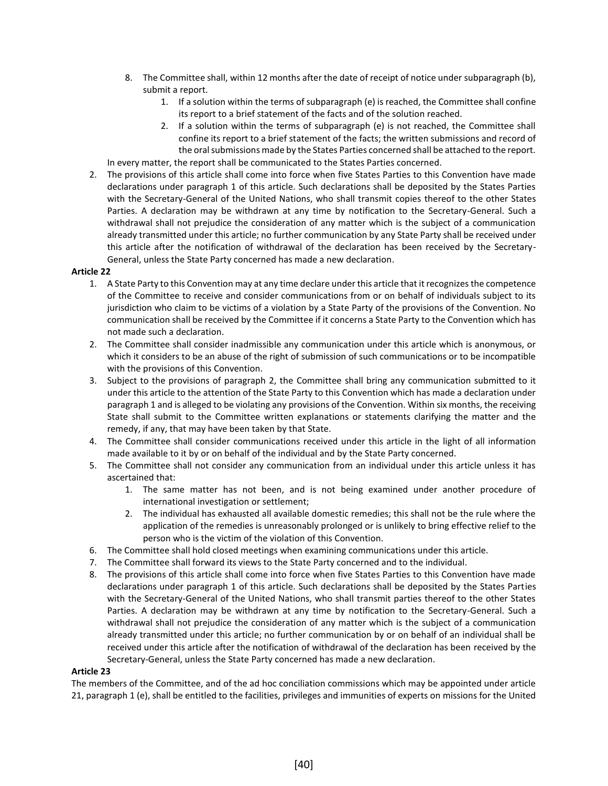- 8. The Committee shall, within 12 months after the date of receipt of notice under subparagraph (b), submit a report.
	- 1. If a solution within the terms of subparagraph (e) is reached, the Committee shall confine its report to a brief statement of the facts and of the solution reached.
	- 2. If a solution within the terms of subparagraph (e) is not reached, the Committee shall confine its report to a brief statement of the facts; the written submissions and record of the oral submissions made by the States Parties concerned shall be attached to the report.

In every matter, the report shall be communicated to the States Parties concerned. 2. The provisions of this article shall come into force when five States Parties to this Convention have made

declarations under paragraph 1 of this article. Such declarations shall be deposited by the States Parties with the Secretary-General of the United Nations, who shall transmit copies thereof to the other States Parties. A declaration may be withdrawn at any time by notification to the Secretary-General. Such a withdrawal shall not prejudice the consideration of any matter which is the subject of a communication already transmitted under this article; no further communication by any State Party shall be received under this article after the notification of withdrawal of the declaration has been received by the Secretary-General, unless the State Party concerned has made a new declaration.

#### **Article 22**

- 1. A State Party to this Convention may at any time declare under this article that it recognizes the competence of the Committee to receive and consider communications from or on behalf of individuals subject to its jurisdiction who claim to be victims of a violation by a State Party of the provisions of the Convention. No communication shall be received by the Committee if it concerns a State Party to the Convention which has not made such a declaration.
- 2. The Committee shall consider inadmissible any communication under this article which is anonymous, or which it considers to be an abuse of the right of submission of such communications or to be incompatible with the provisions of this Convention.
- 3. Subject to the provisions of paragraph 2, the Committee shall bring any communication submitted to it under this article to the attention of the State Party to this Convention which has made a declaration under paragraph 1 and is alleged to be violating any provisions of the Convention. Within six months, the receiving State shall submit to the Committee written explanations or statements clarifying the matter and the remedy, if any, that may have been taken by that State.
- 4. The Committee shall consider communications received under this article in the light of all information made available to it by or on behalf of the individual and by the State Party concerned.
- 5. The Committee shall not consider any communication from an individual under this article unless it has ascertained that:
	- 1. The same matter has not been, and is not being examined under another procedure of international investigation or settlement;
	- 2. The individual has exhausted all available domestic remedies; this shall not be the rule where the application of the remedies is unreasonably prolonged or is unlikely to bring effective relief to the person who is the victim of the violation of this Convention.
- 6. The Committee shall hold closed meetings when examining communications under this article.
- 7. The Committee shall forward its views to the State Party concerned and to the individual.
- 8. The provisions of this article shall come into force when five States Parties to this Convention have made declarations under paragraph 1 of this article. Such declarations shall be deposited by the States Parties with the Secretary-General of the United Nations, who shall transmit parties thereof to the other States Parties. A declaration may be withdrawn at any time by notification to the Secretary-General. Such a withdrawal shall not prejudice the consideration of any matter which is the subject of a communication already transmitted under this article; no further communication by or on behalf of an individual shall be received under this article after the notification of withdrawal of the declaration has been received by the Secretary-General, unless the State Party concerned has made a new declaration.

#### **Article 23**

The members of the Committee, and of the ad hoc conciliation commissions which may be appointed under article 21, paragraph 1 (e), shall be entitled to the facilities, privileges and immunities of experts on missions for the United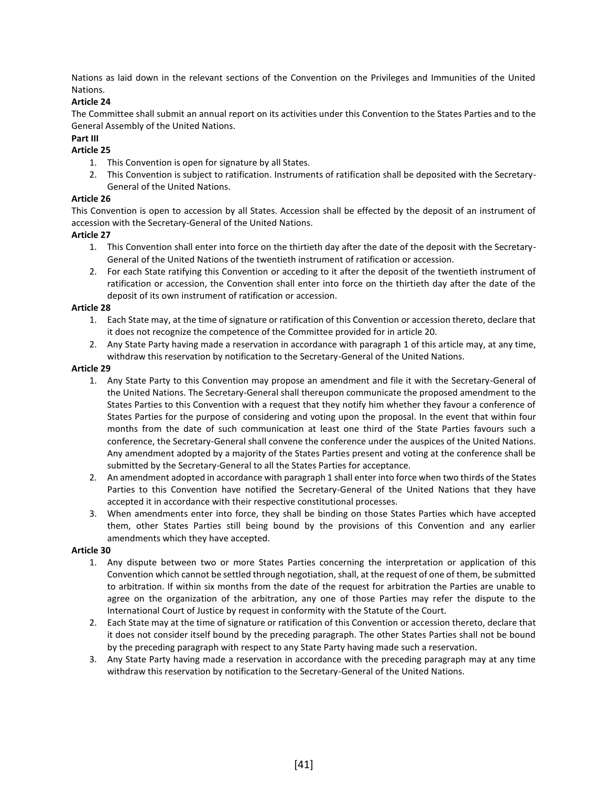Nations as laid down in the relevant sections of the Convention on the Privileges and Immunities of the United Nations.

#### **Article 24**

The Committee shall submit an annual report on its activities under this Convention to the States Parties and to the General Assembly of the United Nations.

#### **Part III**

#### **Article 25**

- 1. This Convention is open for signature by all States.
- 2. This Convention is subject to ratification. Instruments of ratification shall be deposited with the Secretary-General of the United Nations.

#### **Article 26**

This Convention is open to accession by all States. Accession shall be effected by the deposit of an instrument of accession with the Secretary-General of the United Nations.

#### **Article 27**

- 1. This Convention shall enter into force on the thirtieth day after the date of the deposit with the Secretary-General of the United Nations of the twentieth instrument of ratification or accession.
- 2. For each State ratifying this Convention or acceding to it after the deposit of the twentieth instrument of ratification or accession, the Convention shall enter into force on the thirtieth day after the date of the deposit of its own instrument of ratification or accession.

#### **Article 28**

- 1. Each State may, at the time of signature or ratification of this Convention or accession thereto, declare that it does not recognize the competence of the Committee provided for in article 20.
- 2. Any State Party having made a reservation in accordance with paragraph 1 of this article may, at any time, withdraw this reservation by notification to the Secretary-General of the United Nations.

#### **Article 29**

- 1. Any State Party to this Convention may propose an amendment and file it with the Secretary-General of the United Nations. The Secretary-General shall thereupon communicate the proposed amendment to the States Parties to this Convention with a request that they notify him whether they favour a conference of States Parties for the purpose of considering and voting upon the proposal. In the event that within four months from the date of such communication at least one third of the State Parties favours such a conference, the Secretary-General shall convene the conference under the auspices of the United Nations. Any amendment adopted by a majority of the States Parties present and voting at the conference shall be submitted by the Secretary-General to all the States Parties for acceptance.
- 2. An amendment adopted in accordance with paragraph 1 shall enter into force when two thirds of the States Parties to this Convention have notified the Secretary-General of the United Nations that they have accepted it in accordance with their respective constitutional processes.
- 3. When amendments enter into force, they shall be binding on those States Parties which have accepted them, other States Parties still being bound by the provisions of this Convention and any earlier amendments which they have accepted.

#### **Article 30**

- 1. Any dispute between two or more States Parties concerning the interpretation or application of this Convention which cannot be settled through negotiation, shall, at the request of one of them, be submitted to arbitration. If within six months from the date of the request for arbitration the Parties are unable to agree on the organization of the arbitration, any one of those Parties may refer the dispute to the International Court of Justice by request in conformity with the Statute of the Court.
- 2. Each State may at the time of signature or ratification of this Convention or accession thereto, declare that it does not consider itself bound by the preceding paragraph. The other States Parties shall not be bound by the preceding paragraph with respect to any State Party having made such a reservation.
- 3. Any State Party having made a reservation in accordance with the preceding paragraph may at any time withdraw this reservation by notification to the Secretary-General of the United Nations.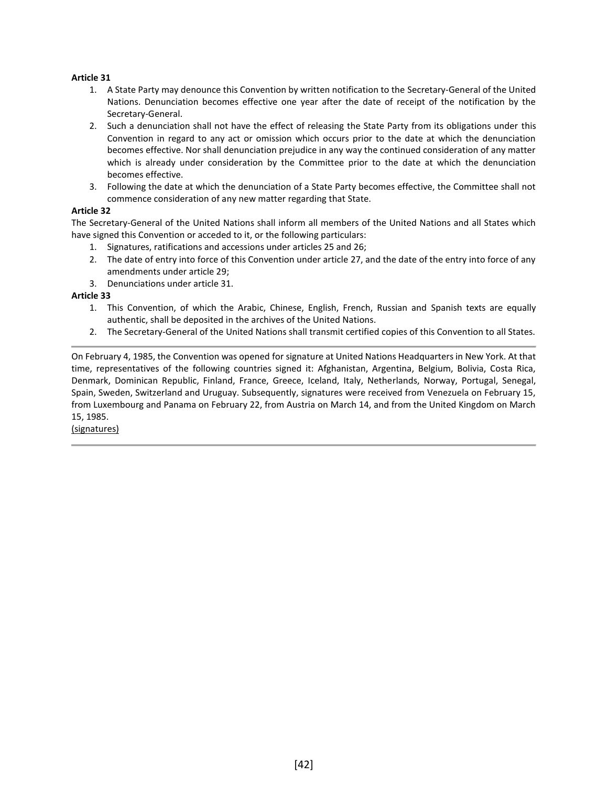- 1. A State Party may denounce this Convention by written notification to the Secretary-General of the United Nations. Denunciation becomes effective one year after the date of receipt of the notification by the Secretary-General.
- 2. Such a denunciation shall not have the effect of releasing the State Party from its obligations under this Convention in regard to any act or omission which occurs prior to the date at which the denunciation becomes effective. Nor shall denunciation prejudice in any way the continued consideration of any matter which is already under consideration by the Committee prior to the date at which the denunciation becomes effective.
- 3. Following the date at which the denunciation of a State Party becomes effective, the Committee shall not commence consideration of any new matter regarding that State.

#### **Article 32**

The Secretary-General of the United Nations shall inform all members of the United Nations and all States which have signed this Convention or acceded to it, or the following particulars:

- 1. Signatures, ratifications and accessions under articles 25 and 26;
- 2. The date of entry into force of this Convention under article 27, and the date of the entry into force of any amendments under article 29;
- 3. Denunciations under article 31.

#### **Article 33**

- 1. This Convention, of which the Arabic, Chinese, English, French, Russian and Spanish texts are equally authentic, shall be deposited in the archives of the United Nations.
- 2. The Secretary-General of the United Nations shall transmit certified copies of this Convention to all States.

On February 4, 1985, the Convention was opened for signature at United Nations Headquarters in New York. At that time, representatives of the following countries signed it: Afghanistan, Argentina, Belgium, Bolivia, Costa Rica, Denmark, Dominican Republic, Finland, France, Greece, Iceland, Italy, Netherlands, Norway, Portugal, Senegal, Spain, Sweden, Switzerland and Uruguay. Subsequently, signatures were received from Venezuela on February 15, from Luxembourg and Panama on February 22, from Austria on March 14, and from the United Kingdom on March 15, 1985.

<span id="page-41-0"></span>[\(signatures\)](http://www.hrweb.org/legal/catsigs.html)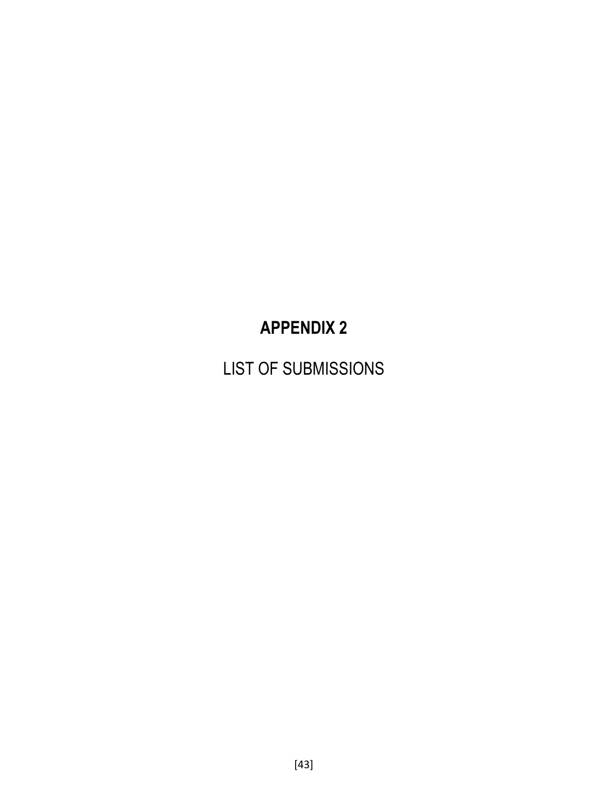# **APPENDIX 2**

<span id="page-42-0"></span>LIST OF SUBMISSIONS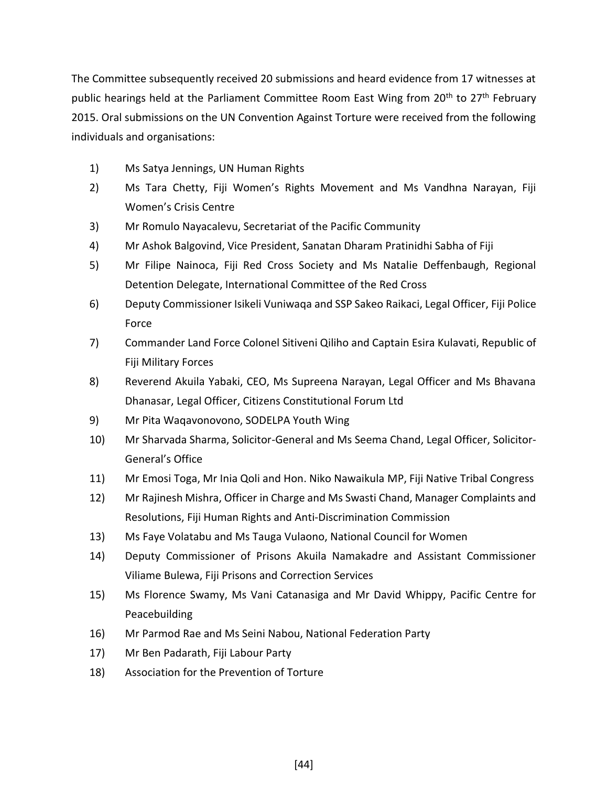The Committee subsequently received 20 submissions and heard evidence from 17 witnesses at public hearings held at the Parliament Committee Room East Wing from 20<sup>th</sup> to 27<sup>th</sup> February 2015. Oral submissions on the UN Convention Against Torture were received from the following individuals and organisations:

- 1) Ms Satya Jennings, UN Human Rights
- 2) Ms Tara Chetty, Fiji Women's Rights Movement and Ms Vandhna Narayan, Fiji Women's Crisis Centre
- 3) Mr Romulo Nayacalevu, Secretariat of the Pacific Community
- 4) Mr Ashok Balgovind, Vice President, Sanatan Dharam Pratinidhi Sabha of Fiji
- 5) Mr Filipe Nainoca, Fiji Red Cross Society and Ms Natalie Deffenbaugh, Regional Detention Delegate, International Committee of the Red Cross
- 6) Deputy Commissioner Isikeli Vuniwaqa and SSP Sakeo Raikaci, Legal Officer, Fiji Police Force
- 7) Commander Land Force Colonel Sitiveni Qiliho and Captain Esira Kulavati, Republic of Fiji Military Forces
- 8) Reverend Akuila Yabaki, CEO, Ms Supreena Narayan, Legal Officer and Ms Bhavana Dhanasar, Legal Officer, Citizens Constitutional Forum Ltd
- 9) Mr Pita Waqavonovono, SODELPA Youth Wing
- 10) Mr Sharvada Sharma, Solicitor-General and Ms Seema Chand, Legal Officer, Solicitor-General's Office
- 11) Mr Emosi Toga, Mr Inia Qoli and Hon. Niko Nawaikula MP, Fiji Native Tribal Congress
- 12) Mr Rajinesh Mishra, Officer in Charge and Ms Swasti Chand, Manager Complaints and Resolutions, Fiji Human Rights and Anti-Discrimination Commission
- 13) Ms Faye Volatabu and Ms Tauga Vulaono, National Council for Women
- 14) Deputy Commissioner of Prisons Akuila Namakadre and Assistant Commissioner Viliame Bulewa, Fiji Prisons and Correction Services
- 15) Ms Florence Swamy, Ms Vani Catanasiga and Mr David Whippy, Pacific Centre for Peacebuilding
- 16) Mr Parmod Rae and Ms Seini Nabou, National Federation Party
- 17) Mr Ben Padarath, Fiji Labour Party
- 18) Association for the Prevention of Torture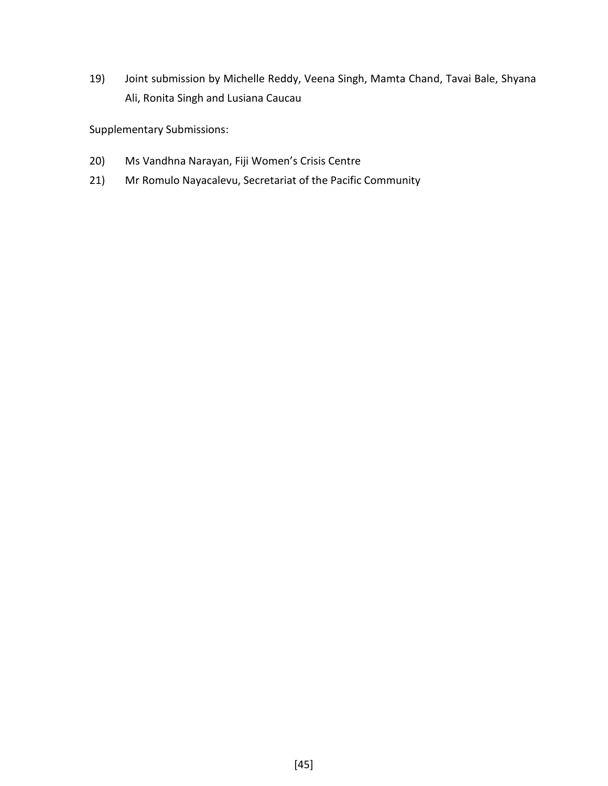19) Joint submission by Michelle Reddy, Veena Singh, Mamta Chand, Tavai Bale, Shyana Ali, Ronita Singh and Lusiana Caucau

Supplementary Submissions:

- 20) Ms Vandhna Narayan, Fiji Women's Crisis Centre
- 21) Mr Romulo Nayacalevu, Secretariat of the Pacific Community